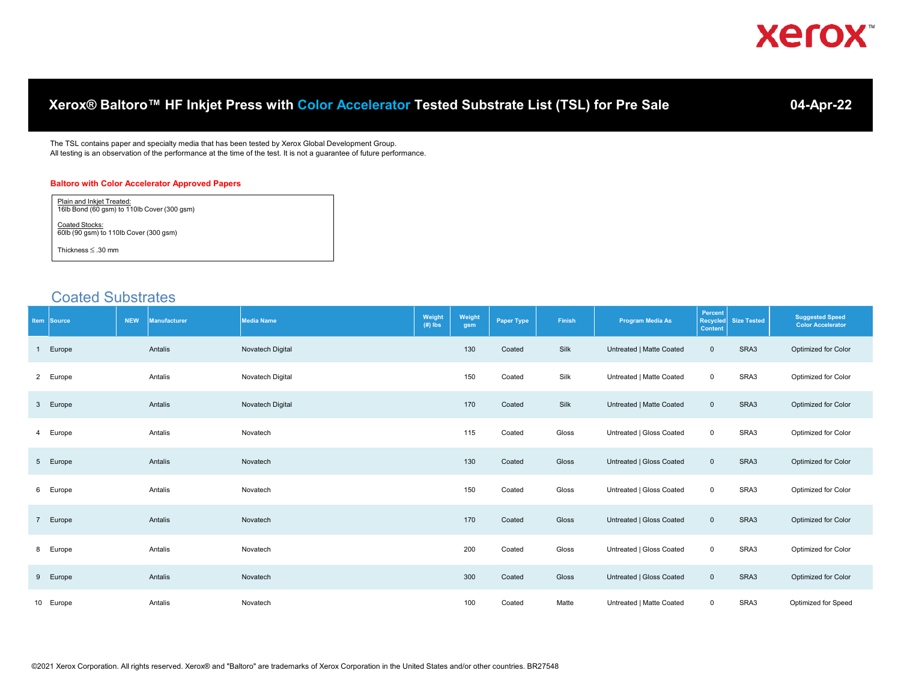|             |                                                          |            |                                                       | Xerox® Baltoro™ HF Inkjet Press with Color Accelerator Tested Substrate List (TSL) for Pre Sale                                                                                                                              |                     |               |                   |        |                          |                                              |                    | 04-Apr-22                                          |
|-------------|----------------------------------------------------------|------------|-------------------------------------------------------|------------------------------------------------------------------------------------------------------------------------------------------------------------------------------------------------------------------------------|---------------------|---------------|-------------------|--------|--------------------------|----------------------------------------------|--------------------|----------------------------------------------------|
|             |                                                          |            |                                                       | The TSL contains paper and specialty media that has been tested by Xerox Global Development Group.<br>All testing is an observation of the performance at the time of the test. It is not a guarantee of future performance. |                     |               |                   |        |                          |                                              |                    |                                                    |
|             | Plain and Inkjet Treated:                                |            | <b>Baltoro with Color Accelerator Approved Papers</b> |                                                                                                                                                                                                                              |                     |               |                   |        |                          |                                              |                    |                                                    |
|             | 16lb Bond (60 gsm) to 110lb Cover (300 gsm)              |            |                                                       |                                                                                                                                                                                                                              |                     |               |                   |        |                          |                                              |                    |                                                    |
|             | Coated Stocks:<br>60lb (90 gsm) to 110lb Cover (300 gsm) |            |                                                       |                                                                                                                                                                                                                              |                     |               |                   |        |                          |                                              |                    |                                                    |
|             | Thickness $\leq$ .30 mm                                  |            |                                                       |                                                                                                                                                                                                                              |                     |               |                   |        |                          |                                              |                    |                                                    |
|             |                                                          |            |                                                       |                                                                                                                                                                                                                              |                     |               |                   |        |                          |                                              |                    |                                                    |
|             | <b>Coated Substrates</b>                                 |            |                                                       |                                                                                                                                                                                                                              |                     |               |                   |        |                          |                                              |                    |                                                    |
| Item Source |                                                          | <b>NEW</b> | <b>Manufacturer</b>                                   | <b>Media Name</b>                                                                                                                                                                                                            | Weight<br>$(H)$ lbs | Weight<br>gsm | <b>Paper Type</b> | Finish | <b>Program Media As</b>  | Percent<br><b>Recycled</b><br><b>Content</b> | <b>Size Tested</b> | <b>Suggested Speed</b><br><b>Color Accelerator</b> |
| Europe<br>1 |                                                          |            | Antalis                                               | Novatech Digital                                                                                                                                                                                                             |                     | 130           | Coated            | Silk   | Untreated   Matte Coated | $\mathbf 0$                                  | SRA3               | Optimized for Color                                |
| 2 Europe    |                                                          |            | Antalis                                               | Novatech Digital                                                                                                                                                                                                             |                     | 150           | Coated            | Silk   | Untreated   Matte Coated | 0                                            | SRA3               | Optimized for Color                                |
| 3 Europe    |                                                          |            | Antalis                                               | Novatech Digital                                                                                                                                                                                                             |                     | 170           | Coated            | Silk   | Untreated   Matte Coated | $\mathbf 0$                                  | SRA3               | Optimized for Color                                |
| Europe<br>4 |                                                          |            | Antalis                                               | Novatech                                                                                                                                                                                                                     |                     | 115           | Coated            | Gloss  | Untreated   Gloss Coated | 0                                            | SRA3               | Optimized for Color                                |
| 5 Europe    |                                                          |            | Antalis                                               | Novatech                                                                                                                                                                                                                     |                     | 130           | Coated            | Gloss  | Untreated   Gloss Coated | $\mathsf{O}\xspace$                          | SRA3               | Optimized for Color                                |
| Europe<br>6 |                                                          |            | Antalis                                               | Novatech                                                                                                                                                                                                                     |                     | 150           | Coated            | Gloss  | Untreated   Gloss Coated | $\mathbf 0$                                  | SRA3               | Optimized for Color                                |
| 7 Europe    |                                                          |            | Antalis                                               | Novatech                                                                                                                                                                                                                     |                     | 170           | Coated            | Gloss  | Untreated   Gloss Coated | $\mathbf 0$                                  | SRA3               | Optimized for Color                                |
| 8 Europe    |                                                          |            | Antalis                                               | Novatech                                                                                                                                                                                                                     |                     | 200           | Coated            | Gloss  | Untreated   Gloss Coated | 0                                            | SRA3               | Optimized for Color                                |
| 9 Europe    |                                                          |            | Antalis                                               | Novatech                                                                                                                                                                                                                     |                     | 300           | Coated            | Gloss  | Untreated   Gloss Coated | $\mathbf 0$                                  | SRA3               | Optimized for Color                                |
| 10 Europe   |                                                          |            | Antalis                                               | Novatech                                                                                                                                                                                                                     |                     | 100           | Coated            | Matte  | Untreated   Matte Coated | $\mathbf 0$                                  | SRA3               | Optimized for Speed                                |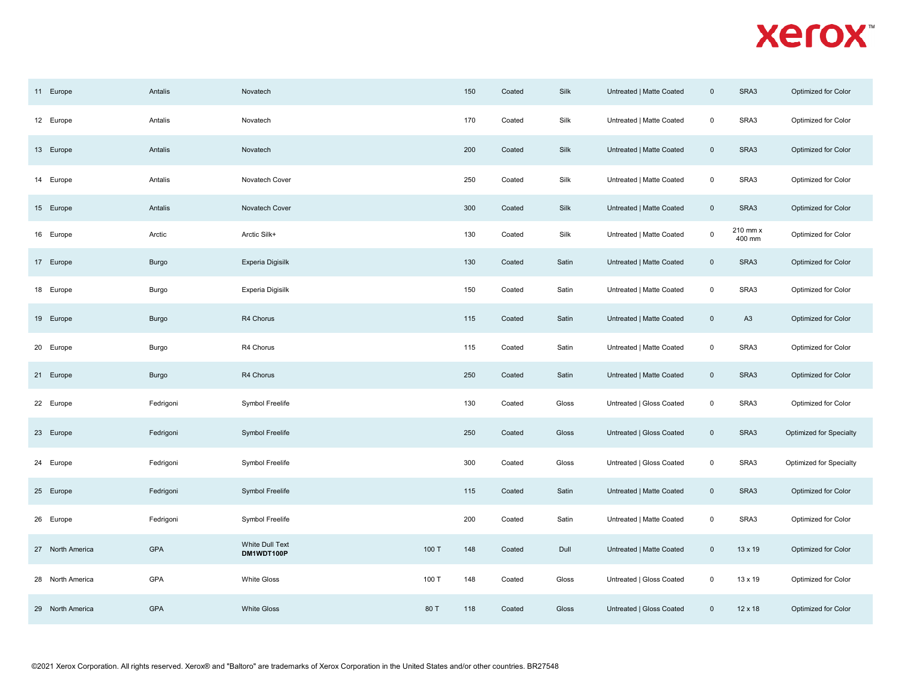| 11 Europe        | Antalis   | Novatech                      |       | 150 | Coated | Silk  | Untreated   Matte Coated | $\mathbf 0$         | SRA3               | Optimized for Color     |
|------------------|-----------|-------------------------------|-------|-----|--------|-------|--------------------------|---------------------|--------------------|-------------------------|
| 12 Europe        | Antalis   | Novatech                      |       | 170 | Coated | Silk  | Untreated   Matte Coated | $\pmb{0}$           | SRA3               | Optimized for Color     |
| 13 Europe        | Antalis   | Novatech                      |       | 200 | Coated | Silk  | Untreated   Matte Coated | $\mathsf{O}\xspace$ | SRA3               | Optimized for Color     |
| 14 Europe        | Antalis   | Novatech Cover                |       | 250 | Coated | Silk  | Untreated   Matte Coated | $\mathsf 0$         | SRA3               | Optimized for Color     |
| 15 Europe        | Antalis   | Novatech Cover                |       | 300 | Coated | Silk  | Untreated   Matte Coated | $\mathbb O$         | SRA3               | Optimized for Color     |
| 16 Europe        | Arctic    | Arctic Silk+                  |       | 130 | Coated | Silk  | Untreated   Matte Coated | $\mathbf 0$         | 210 mm x<br>400 mm | Optimized for Color     |
| 17 Europe        | Burgo     | Experia Digisilk              |       | 130 | Coated | Satin | Untreated   Matte Coated | $\overline{0}$      | SRA3               | Optimized for Color     |
| 18 Europe        | Burgo     | Experia Digisilk              |       | 150 | Coated | Satin | Untreated   Matte Coated | $\mathsf 0$         | SRA3               | Optimized for Color     |
| 19 Europe        | Burgo     | R4 Chorus                     |       | 115 | Coated | Satin | Untreated   Matte Coated | $\mathsf 0$         | A <sub>3</sub>     | Optimized for Color     |
| 20 Europe        | Burgo     | R4 Chorus                     |       | 115 | Coated | Satin | Untreated   Matte Coated | $\mathsf 0$         | SRA3               | Optimized for Color     |
| 21 Europe        | Burgo     | R4 Chorus                     |       | 250 | Coated | Satin | Untreated   Matte Coated | $\overline{0}$      | SRA3               | Optimized for Color     |
| 22 Europe        | Fedrigoni | Symbol Freelife               |       | 130 | Coated | Gloss | Untreated   Gloss Coated | $\mathsf 0$         | SRA3               | Optimized for Color     |
| 23 Europe        | Fedrigoni | Symbol Freelife               |       | 250 | Coated | Gloss | Untreated   Gloss Coated | $\mathsf 0$         | SRA3               | Optimized for Specialty |
| 24 Europe        | Fedrigoni | Symbol Freelife               |       | 300 | Coated | Gloss | Untreated   Gloss Coated | $\mathsf 0$         | SRA3               | Optimized for Specialty |
| 25 Europe        | Fedrigoni | Symbol Freelife               |       | 115 | Coated | Satin | Untreated   Matte Coated | $\mathsf 0$         | SRA3               | Optimized for Color     |
| 26 Europe        | Fedrigoni | Symbol Freelife               |       | 200 | Coated | Satin | Untreated   Matte Coated | $\mathsf 0$         | SRA3               | Optimized for Color     |
| 27 North America | GPA       | White Dull Text<br>DM1WDT100P | 100 T | 148 | Coated | Dull  | Untreated   Matte Coated | $\mathsf 0$         | 13 x 19            | Optimized for Color     |
| 28 North America | GPA       | <b>White Gloss</b>            | 100 T | 148 | Coated | Gloss | Untreated   Gloss Coated | $\mathsf 0$         | 13 x 19            | Optimized for Color     |
| 29 North America | GPA       | <b>White Gloss</b>            | 80 T  | 118 | Coated | Gloss | Untreated   Gloss Coated | $\mathsf 0$         | $12 \times 18$     | Optimized for Color     |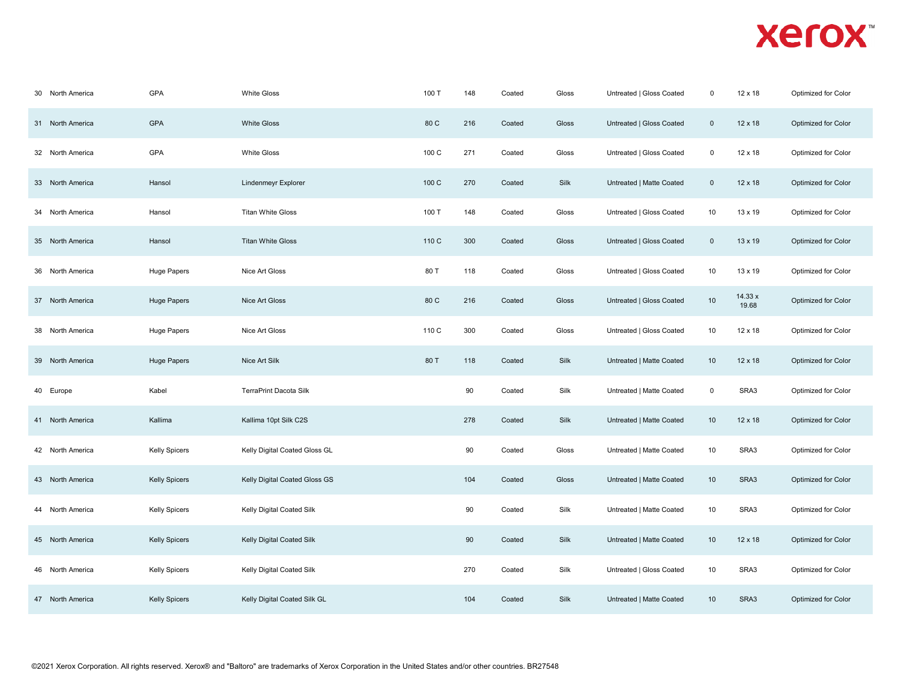| 30 North America | GPA                  | <b>White Gloss</b>            | 100 T | 148 | Coated | Gloss | Untreated   Gloss Coated | $\mathbf 0$ | 12 x 18          | Optimized for Color |
|------------------|----------------------|-------------------------------|-------|-----|--------|-------|--------------------------|-------------|------------------|---------------------|
| 31 North America | <b>GPA</b>           | <b>White Gloss</b>            | 80 C  | 216 | Coated | Gloss | Untreated   Gloss Coated | $\mathsf 0$ | 12 x 18          | Optimized for Color |
| 32 North America | GPA                  | <b>White Gloss</b>            | 100 C | 271 | Coated | Gloss | Untreated   Gloss Coated | $\mathsf 0$ | 12 x 18          | Optimized for Color |
| 33 North America | Hansol               | Lindenmeyr Explorer           | 100 C | 270 | Coated | Silk  | Untreated   Matte Coated | $\mathbf 0$ | 12 x 18          | Optimized for Color |
| 34 North America | Hansol               | <b>Titan White Gloss</b>      | 100 T | 148 | Coated | Gloss | Untreated   Gloss Coated | 10          | 13 x 19          | Optimized for Color |
| 35 North America | Hansol               | <b>Titan White Gloss</b>      | 110 C | 300 | Coated | Gloss | Untreated   Gloss Coated | $\mathbf 0$ | 13 x 19          | Optimized for Color |
| 36 North America | Huge Papers          | Nice Art Gloss                | 80 T  | 118 | Coated | Gloss | Untreated   Gloss Coated | 10          | 13 x 19          | Optimized for Color |
| 37 North America | Huge Papers          | Nice Art Gloss                | 80 C  | 216 | Coated | Gloss | Untreated   Gloss Coated | $10$        | 14.33 x<br>19.68 | Optimized for Color |
| 38 North America | Huge Papers          | Nice Art Gloss                | 110 C | 300 | Coated | Gloss | Untreated   Gloss Coated | 10          | 12 x 18          | Optimized for Color |
| 39 North America | <b>Huge Papers</b>   | Nice Art Silk                 | 80 T  | 118 | Coated | Silk  | Untreated   Matte Coated | 10          | 12 x 18          | Optimized for Color |
| 40 Europe        | Kabel                | TerraPrint Dacota Silk        |       | 90  | Coated | Silk  | Untreated   Matte Coated | $\mathbf 0$ | SRA3             | Optimized for Color |
| 41 North America | Kallima              | Kallima 10pt Silk C2S         |       | 278 | Coated | Silk  | Untreated   Matte Coated | 10          | 12 x 18          | Optimized for Color |
| 42 North America | Kelly Spicers        | Kelly Digital Coated Gloss GL |       | 90  | Coated | Gloss | Untreated   Matte Coated | $10$        | SRA3             | Optimized for Color |
| 43 North America | Kelly Spicers        | Kelly Digital Coated Gloss GS |       | 104 | Coated | Gloss | Untreated   Matte Coated | $10$        | SRA3             | Optimized for Color |
| 44 North America | <b>Kelly Spicers</b> | Kelly Digital Coated Silk     |       | 90  | Coated | Silk  | Untreated   Matte Coated | 10          | SRA3             | Optimized for Color |
| 45 North America | <b>Kelly Spicers</b> | Kelly Digital Coated Silk     |       | 90  | Coated | Silk  | Untreated   Matte Coated | 10          | 12 x 18          | Optimized for Color |
| 46 North America | <b>Kelly Spicers</b> | Kelly Digital Coated Silk     |       | 270 | Coated | Silk  | Untreated   Gloss Coated | 10          | SRA3             | Optimized for Color |
| 47 North America | <b>Kelly Spicers</b> | Kelly Digital Coated Silk GL  |       | 104 | Coated | Silk  | Untreated   Matte Coated | 10          | SRA3             | Optimized for Color |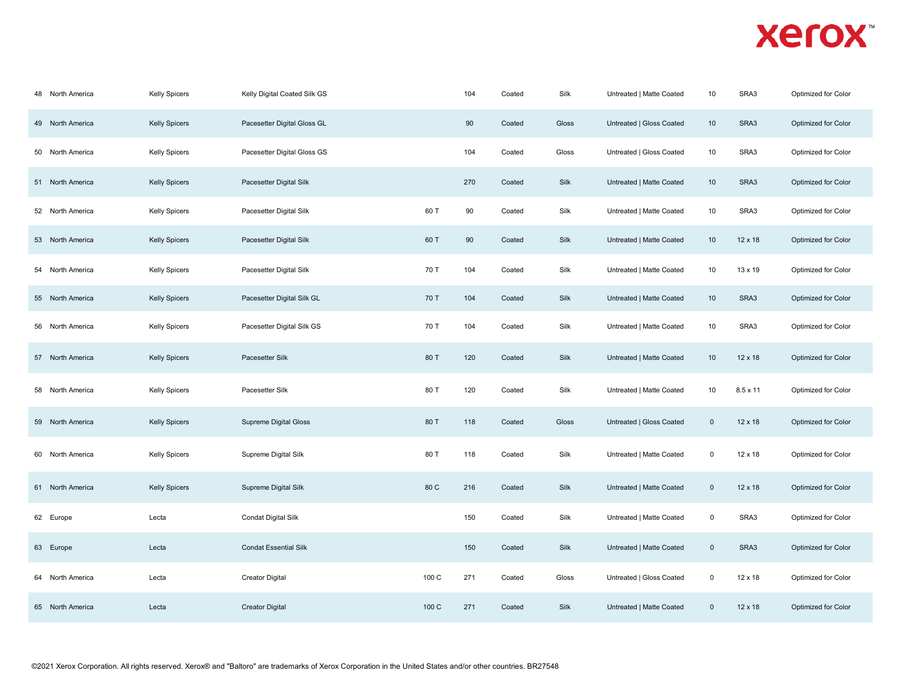| 48 North America | Kelly Spicers        | Kelly Digital Coated Silk GS |       | 104 | Coated | Silk  | Untreated   Matte Coated | 10             | SRA3           | Optimized for Color |
|------------------|----------------------|------------------------------|-------|-----|--------|-------|--------------------------|----------------|----------------|---------------------|
| 49 North America | <b>Kelly Spicers</b> | Pacesetter Digital Gloss GL  |       | 90  | Coated | Gloss | Untreated   Gloss Coated | 10             | SRA3           | Optimized for Color |
| 50 North America | <b>Kelly Spicers</b> | Pacesetter Digital Gloss GS  |       | 104 | Coated | Gloss | Untreated   Gloss Coated | 10             | SRA3           | Optimized for Color |
| 51 North America | <b>Kelly Spicers</b> | Pacesetter Digital Silk      |       | 270 | Coated | Silk  | Untreated   Matte Coated | 10             | SRA3           | Optimized for Color |
| 52 North America | <b>Kelly Spicers</b> | Pacesetter Digital Silk      | 60 T  | 90  | Coated | Silk  | Untreated   Matte Coated | 10             | SRA3           | Optimized for Color |
| 53 North America | <b>Kelly Spicers</b> | Pacesetter Digital Silk      | 60 T  | 90  | Coated | Silk  | Untreated   Matte Coated | 10             | $12 \times 18$ | Optimized for Color |
| 54 North America | <b>Kelly Spicers</b> | Pacesetter Digital Silk      | 70 T  | 104 | Coated | Silk  | Untreated   Matte Coated | 10             | 13 x 19        | Optimized for Color |
| 55 North America | <b>Kelly Spicers</b> | Pacesetter Digital Silk GL   | 70 T  | 104 | Coated | Silk  | Untreated   Matte Coated | 10             | SRA3           | Optimized for Color |
| 56 North America | <b>Kelly Spicers</b> | Pacesetter Digital Silk GS   | 70 T  | 104 | Coated | Silk  | Untreated   Matte Coated | 10             | SRA3           | Optimized for Color |
| 57 North America | <b>Kelly Spicers</b> | Pacesetter Silk              | 80 T  | 120 | Coated | Silk  | Untreated   Matte Coated | 10             | $12 \times 18$ | Optimized for Color |
| 58 North America | <b>Kelly Spicers</b> | Pacesetter Silk              | 80 T  | 120 | Coated | Silk  | Untreated   Matte Coated | 10             | 8.5 x 11       | Optimized for Color |
| 59 North America | <b>Kelly Spicers</b> | <b>Supreme Digital Gloss</b> | 80 T  | 118 | Coated | Gloss | Untreated   Gloss Coated | $\mathsf 0$    | 12 x 18        | Optimized for Color |
| 60 North America | <b>Kelly Spicers</b> | Supreme Digital Silk         | 80 T  | 118 | Coated | Silk  | Untreated   Matte Coated | $\mathsf 0$    | 12 x 18        | Optimized for Color |
| 61 North America | <b>Kelly Spicers</b> | Supreme Digital Silk         | 80 C  | 216 | Coated | Silk  | Untreated   Matte Coated | $\mathbf 0$    | 12 x 18        | Optimized for Color |
| 62 Europe        | Lecta                | Condat Digital Silk          |       | 150 | Coated | Silk  | Untreated   Matte Coated | $\mathsf 0$    | SRA3           | Optimized for Color |
| 63 Europe        | Lecta                | <b>Condat Essential Silk</b> |       | 150 | Coated | Silk  | Untreated   Matte Coated | $\overline{0}$ | SRA3           | Optimized for Color |
| 64 North America | Lecta                | <b>Creator Digital</b>       | 100 C | 271 | Coated | Gloss | Untreated   Gloss Coated | $\mathbf 0$    | 12 x 18        | Optimized for Color |
| 65 North America | Lecta                | <b>Creator Digital</b>       | 100 C | 271 | Coated | Silk  | Untreated   Matte Coated | $\mathbf 0$    | $12 \times 18$ | Optimized for Color |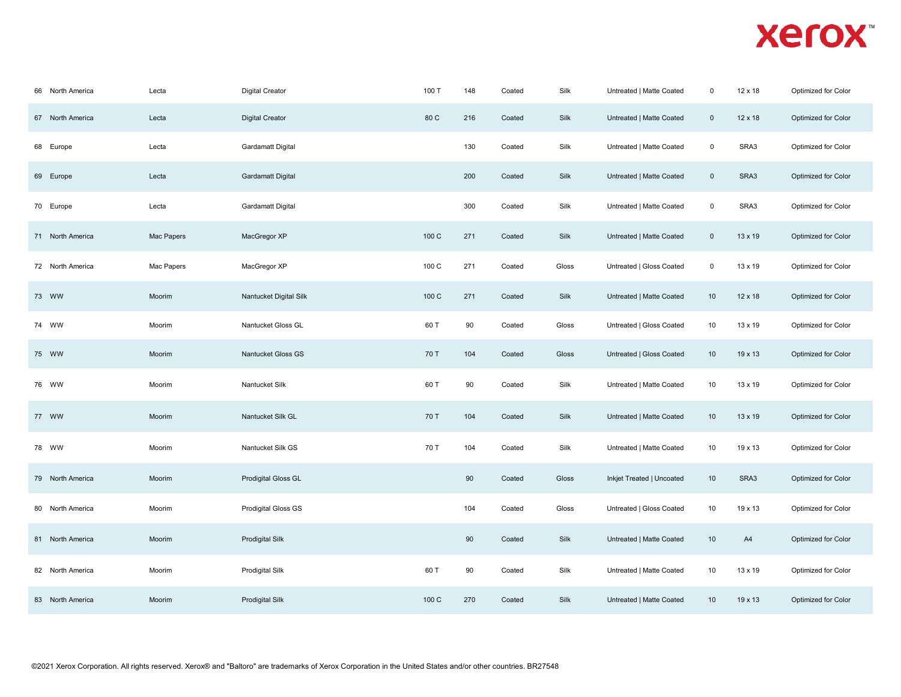| 66 North America | Lecta      | <b>Digital Creator</b>   | 100 T | 148 | Coated | Silk  | Untreated   Matte Coated  | $\mathbf 0$         | 12 x 18        | Optimized for Color |  |
|------------------|------------|--------------------------|-------|-----|--------|-------|---------------------------|---------------------|----------------|---------------------|--|
| 67 North America | Lecta      | <b>Digital Creator</b>   | 80 C  | 216 | Coated | Silk  | Untreated   Matte Coated  | $\mathbf 0$         | 12 x 18        | Optimized for Color |  |
| 68 Europe        | Lecta      | Gardamatt Digital        |       | 130 | Coated | Silk  | Untreated   Matte Coated  | $\mathbf 0$         | SRA3           | Optimized for Color |  |
| 69 Europe        | Lecta      | <b>Gardamatt Digital</b> |       | 200 | Coated | Silk  | Untreated   Matte Coated  | $\mathsf{O}\xspace$ | SRA3           | Optimized for Color |  |
| 70 Europe        | Lecta      | Gardamatt Digital        |       | 300 | Coated | Silk  | Untreated   Matte Coated  | $\mathsf 0$         | SRA3           | Optimized for Color |  |
| 71 North America | Mac Papers | MacGregor XP             | 100 C | 271 | Coated | Silk  | Untreated   Matte Coated  | $\mathsf 0$         | 13 x 19        | Optimized for Color |  |
| 72 North America | Mac Papers | MacGregor XP             | 100 C | 271 | Coated | Gloss | Untreated   Gloss Coated  | $\mathbf 0$         | 13 x 19        | Optimized for Color |  |
| 73 WW            | Moorim     | Nantucket Digital Silk   | 100 C | 271 | Coated | Silk  | Untreated   Matte Coated  | 10                  | $12 \times 18$ | Optimized for Color |  |
| 74 WW            | Moorim     | Nantucket Gloss GL       | 60 T  | 90  | Coated | Gloss | Untreated   Gloss Coated  | 10                  | 13 x 19        | Optimized for Color |  |
| 75 WW            | Moorim     | Nantucket Gloss GS       | 70 T  | 104 | Coated | Gloss | Untreated   Gloss Coated  | 10                  | 19 x 13        | Optimized for Color |  |
| 76 WW            | Moorim     | Nantucket Silk           | 60 T  | 90  | Coated | Silk  | Untreated   Matte Coated  | 10                  | 13 x 19        | Optimized for Color |  |
| 77 WW            | Moorim     | Nantucket Silk GL        | 70 T  | 104 | Coated | Silk  | Untreated   Matte Coated  | 10                  | 13 x 19        | Optimized for Color |  |
| 78 WW            | Moorim     | Nantucket Silk GS        | 70 T  | 104 | Coated | Silk  | Untreated   Matte Coated  | 10                  | 19 x 13        | Optimized for Color |  |
| 79 North America | Moorim     | Prodigital Gloss GL      |       | 90  | Coated | Gloss | Inkjet Treated   Uncoated | 10                  | SRA3           | Optimized for Color |  |
| 80 North America | Moorim     | Prodigital Gloss GS      |       | 104 | Coated | Gloss | Untreated   Gloss Coated  | 10                  | 19 x 13        | Optimized for Color |  |
| 81 North America | Moorim     | <b>Prodigital Silk</b>   |       | 90  | Coated | Silk  | Untreated   Matte Coated  | 10                  | A4             | Optimized for Color |  |
| 82 North America | Moorim     | <b>Prodigital Silk</b>   | 60 T  | 90  | Coated | Silk  | Untreated   Matte Coated  | 10                  | 13 x 19        | Optimized for Color |  |
| 83 North America | Moorim     | <b>Prodigital Silk</b>   | 100 C | 270 | Coated | Silk  | Untreated   Matte Coated  | 10                  | $19 \times 13$ | Optimized for Color |  |
|                  |            |                          |       |     |        |       |                           |                     |                |                     |  |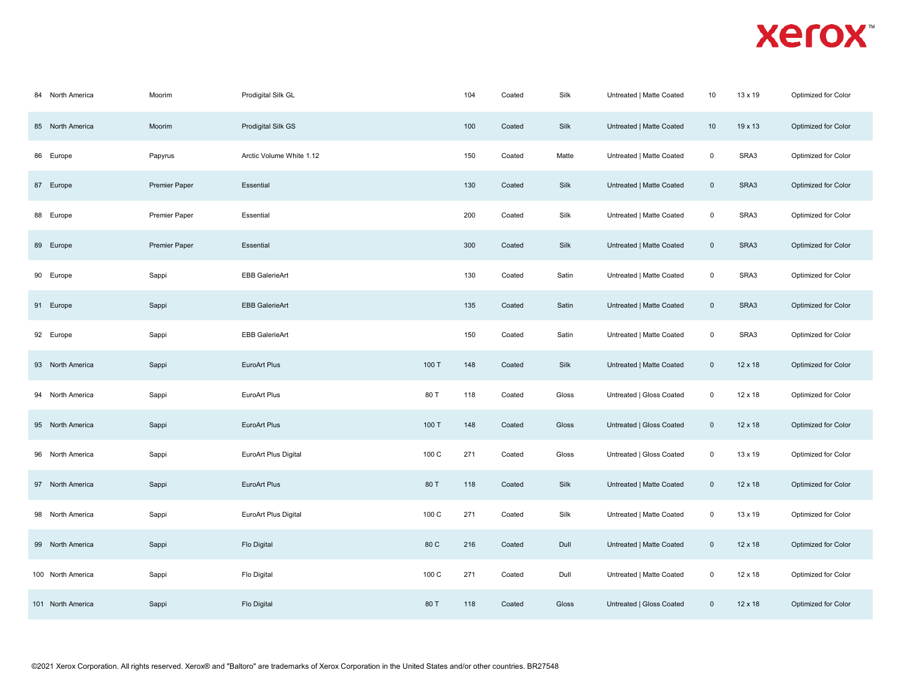| 84 North America  | Moorim               | Prodigital Silk GL          |       | 104 | Coated | Silk  | Untreated   Matte Coated | 10                  | 13 x 19        | Optimized for Color |
|-------------------|----------------------|-----------------------------|-------|-----|--------|-------|--------------------------|---------------------|----------------|---------------------|
| 85 North America  | Moorim               | Prodigital Silk GS          |       | 100 | Coated | Silk  | Untreated   Matte Coated | 10                  | 19 x 13        | Optimized for Color |
| 86 Europe         | Papyrus              | Arctic Volume White 1.12    |       | 150 | Coated | Matte | Untreated   Matte Coated | $\mathsf 0$         | SRA3           | Optimized for Color |
| 87 Europe         | <b>Premier Paper</b> | Essential                   |       | 130 | Coated | Silk  | Untreated   Matte Coated | $\mathsf 0$         | SRA3           | Optimized for Color |
| 88 Europe         | <b>Premier Paper</b> | Essential                   |       | 200 | Coated | Silk  | Untreated   Matte Coated | 0                   | SRA3           | Optimized for Color |
| 89 Europe         | <b>Premier Paper</b> | Essential                   |       | 300 | Coated | Silk  | Untreated   Matte Coated | $\mathbf 0$         | SRA3           | Optimized for Color |
| 90 Europe         | Sappi                | <b>EBB GalerieArt</b>       |       | 130 | Coated | Satin | Untreated   Matte Coated | $\mathsf 0$         | SRA3           | Optimized for Color |
| 91 Europe         | Sappi                | <b>EBB GalerieArt</b>       |       | 135 | Coated | Satin | Untreated   Matte Coated | $\mathsf 0$         | SRA3           | Optimized for Color |
| 92 Europe         | Sappi                | <b>EBB GalerieArt</b>       |       | 150 | Coated | Satin | Untreated   Matte Coated | $\mathsf{O}\xspace$ | SRA3           | Optimized for Color |
| 93 North America  | Sappi                | EuroArt Plus                | 100 T | 148 | Coated | Silk  | Untreated   Matte Coated | $\mathsf 0$         | $12 \times 18$ | Optimized for Color |
| 94 North America  | Sappi                | EuroArt Plus                | 80 T  | 118 | Coated | Gloss | Untreated   Gloss Coated | $\mathbf 0$         | 12 x 18        | Optimized for Color |
| 95 North America  | Sappi                | EuroArt Plus                | 100 T | 148 | Coated | Gloss | Untreated   Gloss Coated | $\mathsf{O}$        | 12 x 18        | Optimized for Color |
| 96 North America  | Sappi                | <b>EuroArt Plus Digital</b> | 100 C | 271 | Coated | Gloss | Untreated   Gloss Coated | $\mathsf 0$         | 13 x 19        | Optimized for Color |
| 97 North America  | Sappi                | EuroArt Plus                | 80 T  | 118 | Coated | Silk  | Untreated   Matte Coated | $\mathsf 0$         | 12 x 18        | Optimized for Color |
| 98 North America  | Sappi                | <b>EuroArt Plus Digital</b> | 100 C | 271 | Coated | Silk  | Untreated   Matte Coated | $\mathbf 0$         | 13 x 19        | Optimized for Color |
| 99 North America  | Sappi                | Flo Digital                 | 80 C  | 216 | Coated | Dull  | Untreated   Matte Coated | $\mathbf 0$         | $12 \times 18$ | Optimized for Color |
| 100 North America | Sappi                | Flo Digital                 | 100 C | 271 | Coated | Dull  | Untreated   Matte Coated | $\mathsf 0$         | 12 x 18        | Optimized for Color |
| 101 North America | Sappi                | Flo Digital                 | 80 T  | 118 | Coated | Gloss | Untreated   Gloss Coated | $\mathsf 0$         | 12 x 18        | Optimized for Color |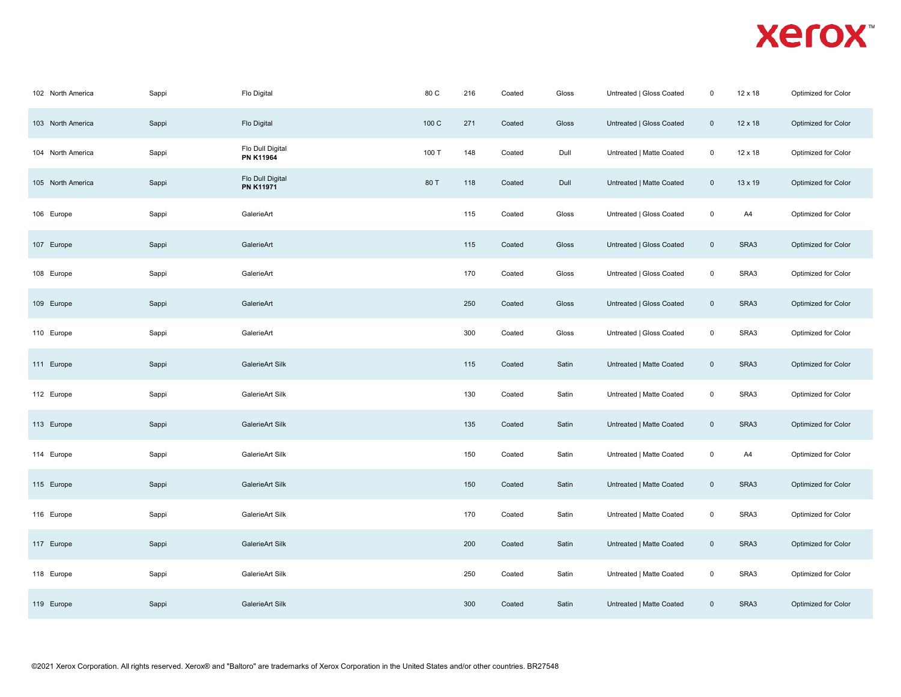| 102 North America | Sappi | Flo Digital                          | 80 C  | 216 | Coated | Gloss | Untreated   Gloss Coated | $\mathbf 0$         | 12 x 18        | Optimized for Color |
|-------------------|-------|--------------------------------------|-------|-----|--------|-------|--------------------------|---------------------|----------------|---------------------|
| 103 North America | Sappi | Flo Digital                          | 100 C | 271 | Coated | Gloss | Untreated   Gloss Coated | $\mathsf{O}$        | $12 \times 18$ | Optimized for Color |
| 104 North America | Sappi | Flo Dull Digital<br><b>PN K11964</b> | 100 T | 148 | Coated | Dull  | Untreated   Matte Coated | $\mathsf 0$         | 12 x 18        | Optimized for Color |
| 105 North America | Sappi | Flo Dull Digital<br>PN K11971        | 80 T  | 118 | Coated | Dull  | Untreated   Matte Coated | $\mathsf{O}$        | 13 x 19        | Optimized for Color |
| 106 Europe        | Sappi | GalerieArt                           |       | 115 | Coated | Gloss | Untreated   Gloss Coated | $\mathsf{O}\xspace$ | A4             | Optimized for Color |
| 107 Europe        | Sappi | GalerieArt                           |       | 115 | Coated | Gloss | Untreated   Gloss Coated | $\mathbf 0$         | SRA3           | Optimized for Color |
| 108 Europe        | Sappi | GalerieArt                           |       | 170 | Coated | Gloss | Untreated   Gloss Coated | $\mathsf 0$         | SRA3           | Optimized for Color |
| 109 Europe        | Sappi | GalerieArt                           |       | 250 | Coated | Gloss | Untreated   Gloss Coated | $\mathsf 0$         | SRA3           | Optimized for Color |
| 110 Europe        | Sappi | GalerieArt                           |       | 300 | Coated | Gloss | Untreated   Gloss Coated | $\mathbf 0$         | SRA3           | Optimized for Color |
| 111 Europe        | Sappi | GalerieArt Silk                      |       | 115 | Coated | Satin | Untreated   Matte Coated | $\mathsf 0$         | SRA3           | Optimized for Color |
| 112 Europe        | Sappi | GalerieArt Silk                      |       | 130 | Coated | Satin | Untreated   Matte Coated | $\mathbf 0$         | SRA3           | Optimized for Color |
| 113 Europe        | Sappi | GalerieArt Silk                      |       | 135 | Coated | Satin | Untreated   Matte Coated | $\mathbf 0$         | SRA3           | Optimized for Color |
| 114 Europe        | Sappi | GalerieArt Silk                      |       | 150 | Coated | Satin | Untreated   Matte Coated | $\mathsf 0$         | A4             | Optimized for Color |
| 115 Europe        | Sappi | GalerieArt Silk                      |       | 150 | Coated | Satin | Untreated   Matte Coated | $\mathsf 0$         | SRA3           | Optimized for Color |
| 116 Europe        | Sappi | GalerieArt Silk                      |       | 170 | Coated | Satin | Untreated   Matte Coated | $\mathsf 0$         | SRA3           | Optimized for Color |
| 117 Europe        | Sappi | GalerieArt Silk                      |       | 200 | Coated | Satin | Untreated   Matte Coated | $\mathsf 0$         | SRA3           | Optimized for Color |
| 118 Europe        | Sappi | GalerieArt Silk                      |       | 250 | Coated | Satin | Untreated   Matte Coated | $\mathbf 0$         | SRA3           | Optimized for Color |
| 119 Europe        | Sappi | GalerieArt Silk                      |       | 300 | Coated | Satin | Untreated   Matte Coated | $\mathsf{O}\xspace$ | SRA3           | Optimized for Color |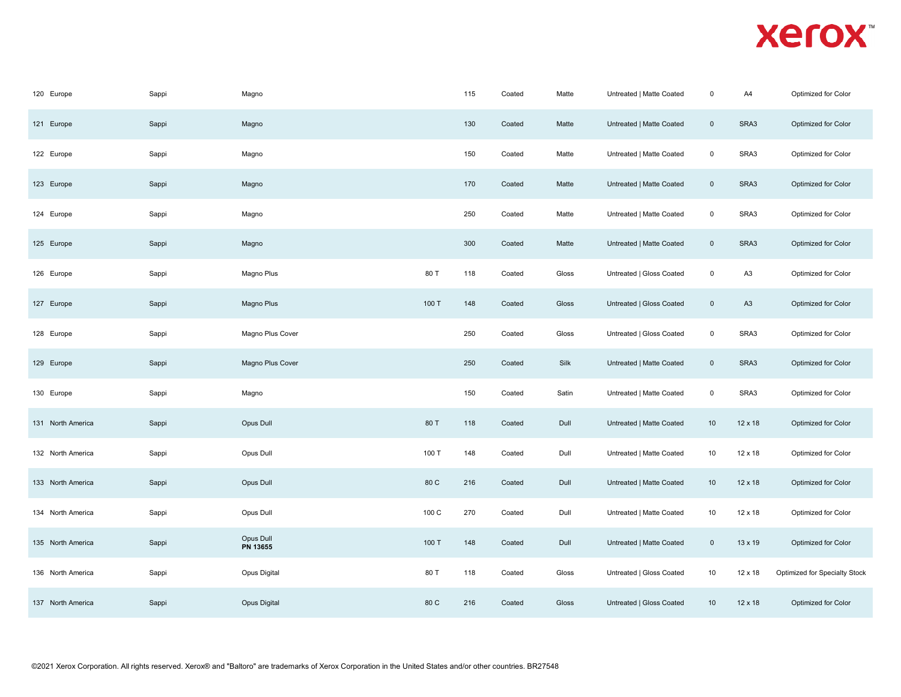| 120 Europe        | Sappi | Magno                 |       | 115 | Coated | Matte | Untreated   Matte Coated | $\mathsf 0$    | A4             | Optimized for Color           |
|-------------------|-------|-----------------------|-------|-----|--------|-------|--------------------------|----------------|----------------|-------------------------------|
| 121 Europe        | Sappi | Magno                 |       | 130 | Coated | Matte | Untreated   Matte Coated | $\overline{0}$ | SRA3           | Optimized for Color           |
| 122 Europe        | Sappi | Magno                 |       | 150 | Coated | Matte | Untreated   Matte Coated | $\mathbf 0$    | SRA3           | Optimized for Color           |
| 123 Europe        | Sappi | Magno                 |       | 170 | Coated | Matte | Untreated   Matte Coated | $\overline{0}$ | SRA3           | Optimized for Color           |
| 124 Europe        | Sappi | Magno                 |       | 250 | Coated | Matte | Untreated   Matte Coated | $\mathsf 0$    | SRA3           | Optimized for Color           |
| 125 Europe        | Sappi | Magno                 |       | 300 | Coated | Matte | Untreated   Matte Coated | $\mathsf 0$    | SRA3           | Optimized for Color           |
| 126 Europe        | Sappi | Magno Plus            | 80 T  | 118 | Coated | Gloss | Untreated   Gloss Coated | $\mathsf 0$    | A <sub>3</sub> | Optimized for Color           |
| 127 Europe        | Sappi | Magno Plus            | 100 T | 148 | Coated | Gloss | Untreated   Gloss Coated | $\mathbb O$    | A3             | Optimized for Color           |
| 128 Europe        | Sappi | Magno Plus Cover      |       | 250 | Coated | Gloss | Untreated   Gloss Coated | $\mathbf 0$    | SRA3           | Optimized for Color           |
| 129 Europe        | Sappi | Magno Plus Cover      |       | 250 | Coated | Silk  | Untreated   Matte Coated | $\mathsf 0$    | SRA3           | Optimized for Color           |
| 130 Europe        | Sappi | Magno                 |       | 150 | Coated | Satin | Untreated   Matte Coated | $\mathsf 0$    | SRA3           | Optimized for Color           |
| 131 North America | Sappi | Opus Dull             | 80 T  | 118 | Coated | Dull  | Untreated   Matte Coated | 10             | 12 x 18        | Optimized for Color           |
| 132 North America | Sappi | Opus Dull             | 100 T | 148 | Coated | Dull  | Untreated   Matte Coated | 10             | 12 x 18        | Optimized for Color           |
| 133 North America | Sappi | Opus Dull             | 80 C  | 216 | Coated | Dull  | Untreated   Matte Coated | 10             | 12 x 18        | Optimized for Color           |
| 134 North America | Sappi | Opus Dull             | 100 C | 270 | Coated | Dull  | Untreated   Matte Coated | 10             | 12 x 18        | Optimized for Color           |
| 135 North America | Sappi | Opus Dull<br>PN 13655 | 100 T | 148 | Coated | Dull  | Untreated   Matte Coated | $\mathsf 0$    | 13 x 19        | Optimized for Color           |
| 136 North America | Sappi | Opus Digital          | 80 T  | 118 | Coated | Gloss | Untreated   Gloss Coated | 10             | 12 x 18        | Optimized for Specialty Stock |
| 137 North America | Sappi | Opus Digital          | 80 C  | 216 | Coated | Gloss | Untreated   Gloss Coated | 10             | 12 x 18        | Optimized for Color           |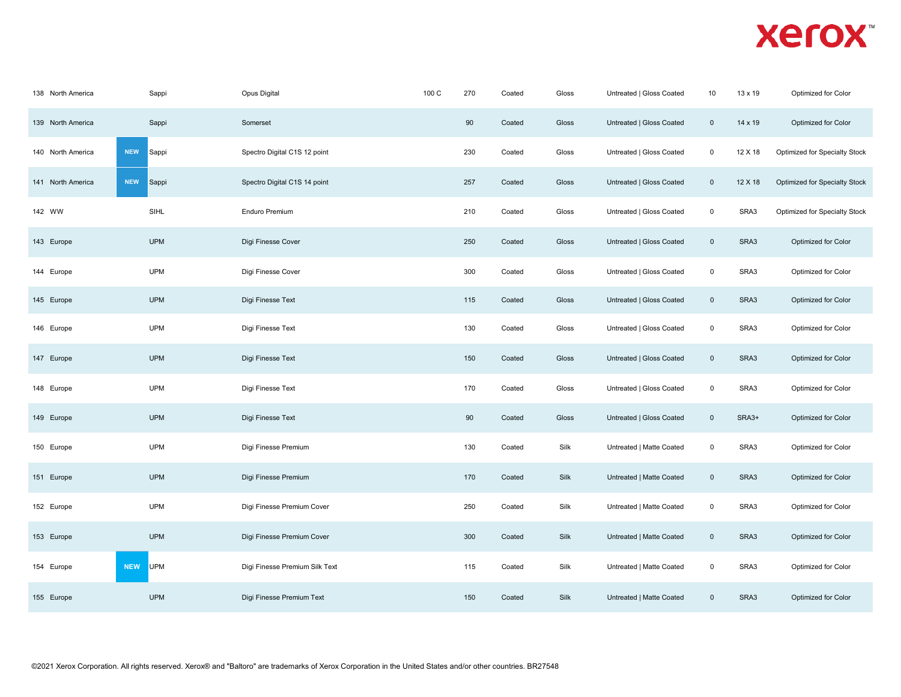| 138 North America | Sappi                    | Opus Digital                   | 100 C | 270 | Coated | Gloss | Untreated   Gloss Coated | 10          | 13 x 19 | Optimized for Color           |
|-------------------|--------------------------|--------------------------------|-------|-----|--------|-------|--------------------------|-------------|---------|-------------------------------|
| 139 North America | Sappi                    | Somerset                       |       | 90  | Coated | Gloss | Untreated   Gloss Coated | $\mathsf 0$ | 14 x 19 | Optimized for Color           |
| 140 North America | <b>NEW</b><br>Sappi      | Spectro Digital C1S 12 point   |       | 230 | Coated | Gloss | Untreated   Gloss Coated | $\mathsf 0$ | 12 X 18 | Optimized for Specialty Stock |
| 141 North America | <b>NEW</b><br>Sappi      | Spectro Digital C1S 14 point   |       | 257 | Coated | Gloss | Untreated   Gloss Coated | $\mathbf 0$ | 12 X 18 | Optimized for Specialty Stock |
| 142 WW            | SIHL                     | <b>Enduro Premium</b>          |       | 210 | Coated | Gloss | Untreated   Gloss Coated | $\mathbf 0$ | SRA3    | Optimized for Specialty Stock |
| 143 Europe        | <b>UPM</b>               | Digi Finesse Cover             |       | 250 | Coated | Gloss | Untreated   Gloss Coated | $\mathsf 0$ | SRA3    | Optimized for Color           |
| 144 Europe        | UPM                      | Digi Finesse Cover             |       | 300 | Coated | Gloss | Untreated   Gloss Coated | $\mathbf 0$ | SRA3    | Optimized for Color           |
| 145 Europe        | <b>UPM</b>               | Digi Finesse Text              |       | 115 | Coated | Gloss | Untreated   Gloss Coated | $\mathsf 0$ | SRA3    | Optimized for Color           |
| 146 Europe        | <b>UPM</b>               | Digi Finesse Text              |       | 130 | Coated | Gloss | Untreated   Gloss Coated | $\mathsf 0$ | SRA3    | Optimized for Color           |
| 147 Europe        | <b>UPM</b>               | Digi Finesse Text              |       | 150 | Coated | Gloss | Untreated   Gloss Coated | $\mathbf 0$ | SRA3    | Optimized for Color           |
| 148 Europe        | <b>UPM</b>               | Digi Finesse Text              |       | 170 | Coated | Gloss | Untreated   Gloss Coated | $\mathsf 0$ | SRA3    | Optimized for Color           |
| 149 Europe        | <b>UPM</b>               | Digi Finesse Text              |       | 90  | Coated | Gloss | Untreated   Gloss Coated | $\mathsf 0$ | SRA3+   | Optimized for Color           |
| 150 Europe        | <b>UPM</b>               | Digi Finesse Premium           |       | 130 | Coated | Silk  | Untreated   Matte Coated | $\mathsf 0$ | SRA3    | Optimized for Color           |
| 151 Europe        | <b>UPM</b>               | Digi Finesse Premium           |       | 170 | Coated | Silk  | Untreated   Matte Coated | $\mathsf 0$ | SRA3    | Optimized for Color           |
| 152 Europe        | <b>UPM</b>               | Digi Finesse Premium Cover     |       | 250 | Coated | Silk  | Untreated   Matte Coated | $\mathsf 0$ | SRA3    | Optimized for Color           |
| 153 Europe        | <b>UPM</b>               | Digi Finesse Premium Cover     |       | 300 | Coated | Silk  | Untreated   Matte Coated | $\mathsf 0$ | SRA3    | Optimized for Color           |
| 154 Europe        | <b>NEW</b><br><b>UPM</b> | Digi Finesse Premium Silk Text |       | 115 | Coated | Silk  | Untreated   Matte Coated | $\mathsf 0$ | SRA3    | Optimized for Color           |
| 155 Europe        | <b>UPM</b>               | Digi Finesse Premium Text      |       | 150 | Coated | Silk  | Untreated   Matte Coated | $\mathsf 0$ | SRA3    | Optimized for Color           |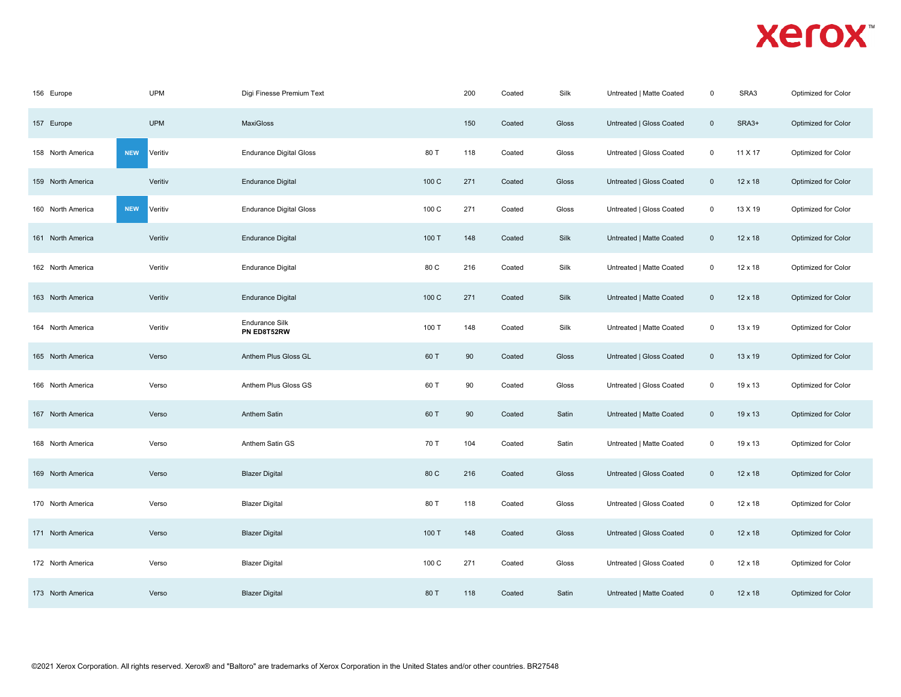| 156 Europe        | <b>UPM</b>            | Digi Finesse Premium Text            |       | 200 | Coated | Silk  | Untreated   Matte Coated | $\mathbf 0$    | SRA3           | Optimized for Color |
|-------------------|-----------------------|--------------------------------------|-------|-----|--------|-------|--------------------------|----------------|----------------|---------------------|
| 157 Europe        | <b>UPM</b>            | <b>MaxiGloss</b>                     |       | 150 | Coated | Gloss | Untreated   Gloss Coated | $\overline{0}$ | SRA3+          | Optimized for Color |
| 158 North America | <b>NEW</b><br>Veritiv | <b>Endurance Digital Gloss</b>       | 80 T  | 118 | Coated | Gloss | Untreated   Gloss Coated | $\mathbf 0$    | 11 X 17        | Optimized for Color |
| 159 North America | Veritiv               | <b>Endurance Digital</b>             | 100 C | 271 | Coated | Gloss | Untreated   Gloss Coated | $\mathsf 0$    | $12 \times 18$ | Optimized for Color |
| 160 North America | <b>NEW</b><br>Veritiv | <b>Endurance Digital Gloss</b>       | 100 C | 271 | Coated | Gloss | Untreated   Gloss Coated | $\mathsf 0$    | 13 X 19        | Optimized for Color |
| 161 North America | Veritiv               | <b>Endurance Digital</b>             | 100 T | 148 | Coated | Silk  | Untreated   Matte Coated | $\mathsf 0$    | 12 x 18        | Optimized for Color |
| 162 North America | Veritiv               | <b>Endurance Digital</b>             | 80 C  | 216 | Coated | Silk  | Untreated   Matte Coated | $\mathsf 0$    | $12 \times 18$ | Optimized for Color |
| 163 North America | Veritiv               | <b>Endurance Digital</b>             | 100 C | 271 | Coated | Silk  | Untreated   Matte Coated | $\overline{0}$ | 12 x 18        | Optimized for Color |
| 164 North America | Veritiv               | <b>Endurance Silk</b><br>PN ED8T52RW | 100 T | 148 | Coated | Silk  | Untreated   Matte Coated | $\mathbf 0$    | 13 x 19        | Optimized for Color |
| 165 North America | Verso                 | Anthem Plus Gloss GL                 | 60 T  | 90  | Coated | Gloss | Untreated   Gloss Coated | $\overline{0}$ | 13 x 19        | Optimized for Color |
| 166 North America | Verso                 | Anthem Plus Gloss GS                 | 60 T  | 90  | Coated | Gloss | Untreated   Gloss Coated | $\mathbf 0$    | 19 x 13        | Optimized for Color |
| 167 North America | Verso                 | Anthem Satin                         | 60 T  | 90  | Coated | Satin | Untreated   Matte Coated | $\overline{0}$ | 19 x 13        | Optimized for Color |
| 168 North America | Verso                 | Anthem Satin GS                      | 70 T  | 104 | Coated | Satin | Untreated   Matte Coated | $\mathbf 0$    | 19 x 13        | Optimized for Color |
| 169 North America | Verso                 | <b>Blazer Digital</b>                | 80 C  | 216 | Coated | Gloss | Untreated   Gloss Coated | $\overline{0}$ | $12 \times 18$ | Optimized for Color |
| 170 North America | Verso                 | <b>Blazer Digital</b>                | 80 T  | 118 | Coated | Gloss | Untreated   Gloss Coated | $\mathsf 0$    | 12 x 18        | Optimized for Color |
| 171 North America | Verso                 | <b>Blazer Digital</b>                | 100 T | 148 | Coated | Gloss | Untreated   Gloss Coated | $\overline{0}$ | $12 \times 18$ | Optimized for Color |
| 172 North America | Verso                 | <b>Blazer Digital</b>                | 100 C | 271 | Coated | Gloss | Untreated   Gloss Coated | $\mathbf 0$    | $12 \times 18$ | Optimized for Color |
| 173 North America | Verso                 | <b>Blazer Digital</b>                | 80 T  | 118 | Coated | Satin | Untreated   Matte Coated | $\mathbf{0}$   | $12 \times 18$ | Optimized for Color |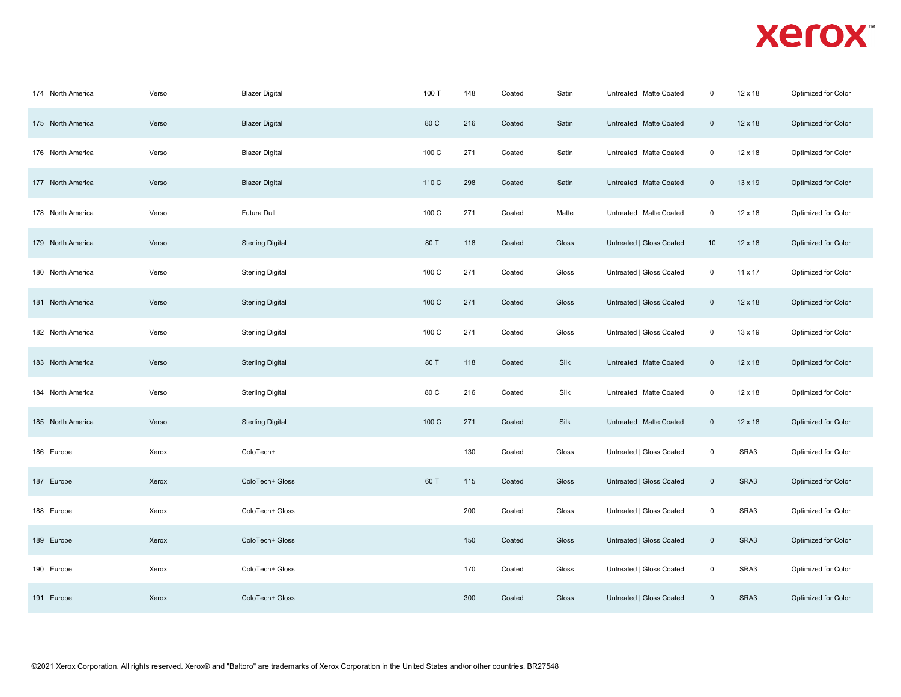| 174 North America | Verso | <b>Blazer Digital</b>   | 100 T | 148 | Coated | Satin | Untreated   Matte Coated | $\mathbf 0$    | 12 x 18        | Optimized for Color |
|-------------------|-------|-------------------------|-------|-----|--------|-------|--------------------------|----------------|----------------|---------------------|
| 175 North America | Verso | <b>Blazer Digital</b>   | 80 C  | 216 | Coated | Satin | Untreated   Matte Coated | $\mathbf 0$    | 12 x 18        | Optimized for Color |
| 176 North America | Verso | <b>Blazer Digital</b>   | 100 C | 271 | Coated | Satin | Untreated   Matte Coated | $\mathsf 0$    | 12 x 18        | Optimized for Color |
| 177 North America | Verso | <b>Blazer Digital</b>   | 110 C | 298 | Coated | Satin | Untreated   Matte Coated | $\overline{0}$ | 13 x 19        | Optimized for Color |
| 178 North America | Verso | Futura Dull             | 100 C | 271 | Coated | Matte | Untreated   Matte Coated | $\mathbf 0$    | $12 \times 18$ | Optimized for Color |
| 179 North America | Verso | <b>Sterling Digital</b> | 80 T  | 118 | Coated | Gloss | Untreated   Gloss Coated | 10             | $12 \times 18$ | Optimized for Color |
| 180 North America | Verso | <b>Sterling Digital</b> | 100 C | 271 | Coated | Gloss | Untreated   Gloss Coated | $\mathbf 0$    | 11 x 17        | Optimized for Color |
| 181 North America | Verso | <b>Sterling Digital</b> | 100 C | 271 | Coated | Gloss | Untreated   Gloss Coated | $\mathbf{0}$   | 12 x 18        | Optimized for Color |
| 182 North America | Verso | <b>Sterling Digital</b> | 100 C | 271 | Coated | Gloss | Untreated   Gloss Coated | $\mathbf 0$    | 13 x 19        | Optimized for Color |
| 183 North America | Verso | <b>Sterling Digital</b> | 80 T  | 118 | Coated | Silk  | Untreated   Matte Coated | $\mathbf 0$    | $12 \times 18$ | Optimized for Color |
| 184 North America | Verso | <b>Sterling Digital</b> | 80 C  | 216 | Coated | Silk  | Untreated   Matte Coated | $\mathsf 0$    | 12 x 18        | Optimized for Color |
| 185 North America | Verso | <b>Sterling Digital</b> | 100 C | 271 | Coated | Silk  | Untreated   Matte Coated | $\mathsf 0$    | $12 \times 18$ | Optimized for Color |
| 186 Europe        | Xerox | ColoTech+               |       | 130 | Coated | Gloss | Untreated   Gloss Coated | $\mathbf 0$    | SRA3           | Optimized for Color |
| 187 Europe        | Xerox | ColoTech+ Gloss         | 60 T  | 115 | Coated | Gloss | Untreated   Gloss Coated | $\overline{0}$ | SRA3           | Optimized for Color |
| 188 Europe        | Xerox | ColoTech+ Gloss         |       | 200 | Coated | Gloss | Untreated   Gloss Coated | $\mathsf 0$    | SRA3           | Optimized for Color |
| 189 Europe        | Xerox | ColoTech+ Gloss         |       | 150 | Coated | Gloss | Untreated   Gloss Coated | $\overline{0}$ | SRA3           | Optimized for Color |
| 190 Europe        | Xerox | ColoTech+ Gloss         |       | 170 | Coated | Gloss | Untreated   Gloss Coated | $\mathbf 0$    | SRA3           | Optimized for Color |
| 191 Europe        | Xerox | ColoTech+ Gloss         |       | 300 | Coated | Gloss | Untreated   Gloss Coated | $\mathbf{0}$   | SRA3           | Optimized for Color |
|                   |       |                         |       |     |        |       |                          |                |                |                     |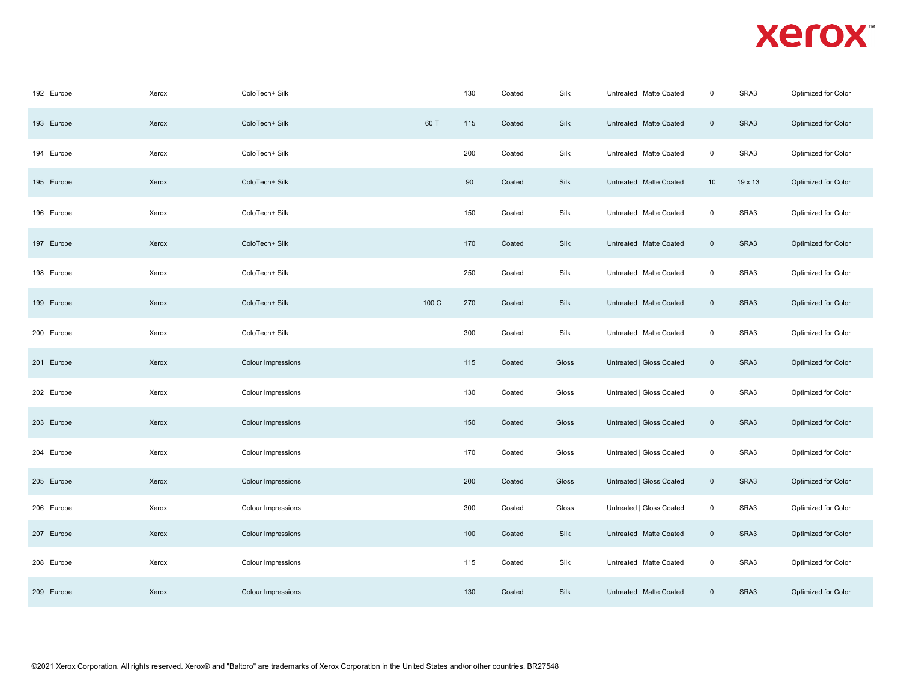| 192 Europe | Xerox | ColoTech+ Silk            |       | 130    | Coated | Silk  | Untreated   Matte Coated | $\mathbf 0$ | SRA3    | Optimized for Color |
|------------|-------|---------------------------|-------|--------|--------|-------|--------------------------|-------------|---------|---------------------|
| 193 Europe | Xerox | ColoTech+ Silk            | 60 T  | 115    | Coated | Silk  | Untreated   Matte Coated | $\mathbf 0$ | SRA3    | Optimized for Color |
| 194 Europe | Xerox | ColoTech+ Silk            |       | 200    | Coated | Silk  | Untreated   Matte Coated | $\mathsf 0$ | SRA3    | Optimized for Color |
| 195 Europe | Xerox | ColoTech+ Silk            |       | $90\,$ | Coated | Silk  | Untreated   Matte Coated | 10          | 19 x 13 | Optimized for Color |
| 196 Europe | Xerox | ColoTech+ Silk            |       | 150    | Coated | Silk  | Untreated   Matte Coated | $\mathsf 0$ | SRA3    | Optimized for Color |
| 197 Europe | Xerox | ColoTech+ Silk            |       | 170    | Coated | Silk  | Untreated   Matte Coated | $\mathbf 0$ | SRA3    | Optimized for Color |
| 198 Europe | Xerox | ColoTech+ Silk            |       | 250    | Coated | Silk  | Untreated   Matte Coated | $\mathbf 0$ | SRA3    | Optimized for Color |
| 199 Europe | Xerox | ColoTech+ Silk            | 100 C | 270    | Coated | Silk  | Untreated   Matte Coated | $\mathbf 0$ | SRA3    | Optimized for Color |
| 200 Europe | Xerox | ColoTech+ Silk            |       | 300    | Coated | Silk  | Untreated   Matte Coated | $\mathbf 0$ | SRA3    | Optimized for Color |
| 201 Europe | Xerox | Colour Impressions        |       | 115    | Coated | Gloss | Untreated   Gloss Coated | $\mathbf 0$ | SRA3    | Optimized for Color |
| 202 Europe | Xerox | Colour Impressions        |       | 130    | Coated | Gloss | Untreated   Gloss Coated | $\mathsf 0$ | SRA3    | Optimized for Color |
| 203 Europe | Xerox | Colour Impressions        |       | 150    | Coated | Gloss | Untreated   Gloss Coated | $\mathbf 0$ | SRA3    | Optimized for Color |
| 204 Europe | Xerox | Colour Impressions        |       | 170    | Coated | Gloss | Untreated   Gloss Coated | $\mathsf 0$ | SRA3    | Optimized for Color |
| 205 Europe | Xerox | <b>Colour Impressions</b> |       | 200    | Coated | Gloss | Untreated   Gloss Coated | $\mathbf 0$ | SRA3    | Optimized for Color |
| 206 Europe | Xerox | <b>Colour Impressions</b> |       | 300    | Coated | Gloss | Untreated   Gloss Coated | $\mathbf 0$ | SRA3    | Optimized for Color |
| 207 Europe | Xerox | <b>Colour Impressions</b> |       | 100    | Coated | Silk  | Untreated   Matte Coated | $\mathsf 0$ | SRA3    | Optimized for Color |
| 208 Europe | Xerox | Colour Impressions        |       | 115    | Coated | Silk  | Untreated   Matte Coated | $\mathsf 0$ | SRA3    | Optimized for Color |
| 209 Europe | Xerox | <b>Colour Impressions</b> |       | 130    | Coated | Silk  | Untreated   Matte Coated | $\mathbf 0$ | SRA3    | Optimized for Color |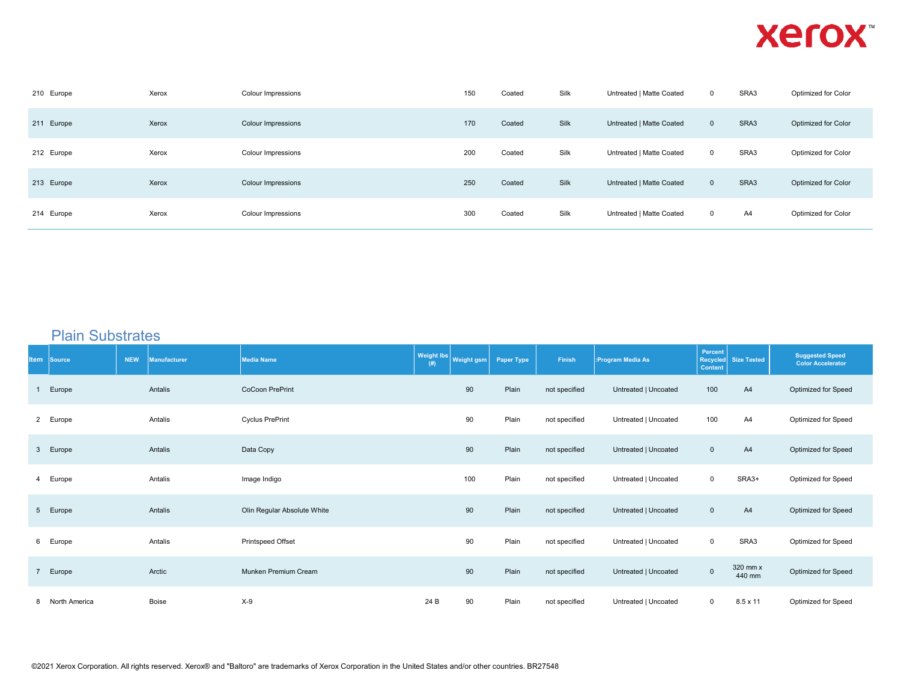| 210 Europe | Xerox | <b>Colour Impressions</b> | 150 | Coated | Silk | Untreated   Matte Coated | $\mathbf 0$  | SRA3 | Optimized for Color |
|------------|-------|---------------------------|-----|--------|------|--------------------------|--------------|------|---------------------|
| 211 Europe | Xerox | <b>Colour Impressions</b> | 170 | Coated | Silk | Untreated   Matte Coated | $\mathbf{0}$ | SRA3 | Optimized for Color |
| 212 Europe | Xerox | <b>Colour Impressions</b> | 200 | Coated | Silk | Untreated   Matte Coated | $\mathbf 0$  | SRA3 | Optimized for Color |
| 213 Europe | Xerox | <b>Colour Impressions</b> | 250 | Coated | Silk | Untreated   Matte Coated | $\mathbf{0}$ | SRA3 | Optimized for Color |
| 214 Europe | Xerox | <b>Colour Impressions</b> | 300 | Coated | Silk | Untreated   Matte Coated | $\mathbf 0$  | A4   | Optimized for Color |

#### Plain Substrates

| <b>Item Source</b> | <b>NEW</b> | <b>Manufacturer</b> | <b>Media Name</b>           | <b>Weight lbs</b><br>(# ) | Weight gsm | Paper Type | Finish        | :Program Media As    | Percent<br><b>Content</b> | Recycled Size Tested | <b>Suggested Speed</b><br><b>Color Accelerator</b> |
|--------------------|------------|---------------------|-----------------------------|---------------------------|------------|------------|---------------|----------------------|---------------------------|----------------------|----------------------------------------------------|
| 1 Europe           |            | Antalis             | <b>CoCoon PrePrint</b>      |                           | 90         | Plain      | not specified | Untreated   Uncoated | 100                       | A4                   | Optimized for Speed                                |
| 2 Europe           |            | Antalis             | <b>Cyclus PrePrint</b>      |                           | 90         | Plain      | not specified | Untreated   Uncoated | 100                       | A4                   | Optimized for Speed                                |
| 3 Europe           |            | Antalis             | Data Copy                   |                           | 90         | Plain      | not specified | Untreated   Uncoated | $\mathbf 0$               | A4                   | Optimized for Speed                                |
| 4 Europe           |            | Antalis             | Image Indigo                |                           | 100        | Plain      | not specified | Untreated   Uncoated | $\mathbf 0$               | SRA3+                | Optimized for Speed                                |
| 5 Europe           |            | Antalis             | Olin Regular Absolute White |                           | 90         | Plain      | not specified | Untreated   Uncoated | $\mathsf 0$               | A4                   | Optimized for Speed                                |
| 6 Europe           |            | Antalis             | Printspeed Offset           |                           | 90         | Plain      | not specified | Untreated   Uncoated | $\mathsf 0$               | SRA3                 | Optimized for Speed                                |
| 7 Europe           |            | Arctic              | Munken Premium Cream        |                           | 90         | Plain      | not specified | Untreated   Uncoated | $\mathsf 0$               | 320 mm x<br>440 mm   | Optimized for Speed                                |
| 8 North America    |            | <b>Boise</b>        | $X-9$                       | 24 B                      | 90         | Plain      | not specified | Untreated   Uncoated | $\mathbf 0$               | $8.5 \times 11$      | Optimized for Speed                                |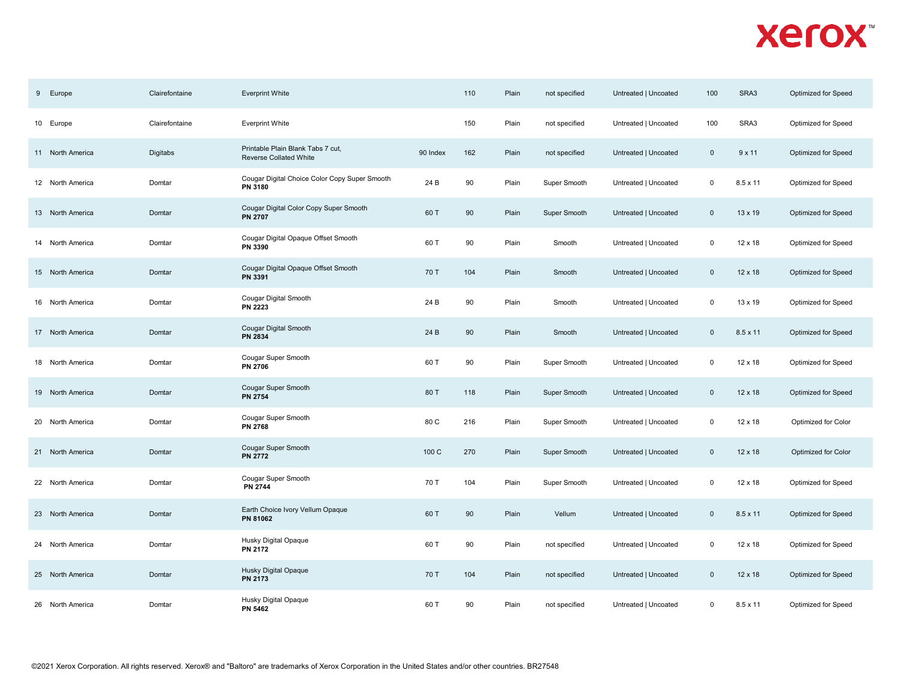| 9 Europe            | Clairefontaine | <b>Everprint White</b>                                             |          | 110 | Plain | not specified | Untreated   Uncoated | 100            | SRA3            | Optimized for Speed |
|---------------------|----------------|--------------------------------------------------------------------|----------|-----|-------|---------------|----------------------|----------------|-----------------|---------------------|
| 10 Europe           | Clairefontaine | <b>Everprint White</b>                                             |          | 150 | Plain | not specified | Untreated   Uncoated | 100            | SRA3            | Optimized for Speed |
| 11 North America    | Digitabs       | Printable Plain Blank Tabs 7 cut,<br><b>Reverse Collated White</b> | 90 Index | 162 | Plain | not specified | Untreated   Uncoated | $\overline{0}$ | 9x11            | Optimized for Speed |
| 12 North America    | Domtar         | Cougar Digital Choice Color Copy Super Smooth<br>PN 3180           | 24 B     | 90  | Plain | Super Smooth  | Untreated   Uncoated | $\mathbf 0$    | 8.5 x 11        | Optimized for Speed |
| 13 North America    | Domtar         | Cougar Digital Color Copy Super Smooth<br><b>PN 2707</b>           | 60 T     | 90  | Plain | Super Smooth  | Untreated   Uncoated | $\mathbf{0}$   | $13 \times 19$  | Optimized for Speed |
| 14 North America    | Domtar         | Cougar Digital Opaque Offset Smooth<br>PN 3390                     | 60 T     | 90  | Plain | Smooth        | Untreated   Uncoated | $\mathbf 0$    | 12 x 18         | Optimized for Speed |
| 15 North America    | Domtar         | Cougar Digital Opaque Offset Smooth<br>PN 3391                     | 70 T     | 104 | Plain | Smooth        | Untreated   Uncoated | $\mathbf 0$    | $12 \times 18$  | Optimized for Speed |
| 16 North America    | Domtar         | Cougar Digital Smooth<br>PN 2223                                   | 24 B     | 90  | Plain | Smooth        | Untreated   Uncoated | $\Omega$       | $13 \times 19$  | Optimized for Speed |
| 17 North America    | Domtar         | Cougar Digital Smooth<br><b>PN 2834</b>                            | 24 B     | 90  | Plain | Smooth        | Untreated   Uncoated | $\mathbf{0}$   | $8.5 \times 11$ | Optimized for Speed |
| 18 North America    | Domtar         | Cougar Super Smooth<br><b>PN 2706</b>                              | 60 T     | 90  | Plain | Super Smooth  | Untreated   Uncoated | 0              | $12 \times 18$  | Optimized for Speed |
| 19 North America    | Domtar         | Cougar Super Smooth<br><b>PN 2754</b>                              | 80 T     | 118 | Plain | Super Smooth  | Untreated   Uncoated | $\mathbf{0}$   | $12 \times 18$  | Optimized for Speed |
| 20 North America    | Domtar         | Cougar Super Smooth<br><b>PN 2768</b>                              | 80 C     | 216 | Plain | Super Smooth  | Untreated   Uncoated | 0              | $12 \times 18$  | Optimized for Color |
| 21 North America    | Domtar         | Cougar Super Smooth<br><b>PN 2772</b>                              | 100 C    | 270 | Plain | Super Smooth  | Untreated   Uncoated | $\Omega$       | $12 \times 18$  | Optimized for Color |
| 22 North America    | Domtar         | Cougar Super Smooth<br><b>PN 2744</b>                              | 70 T     | 104 | Plain | Super Smooth  | Untreated   Uncoated | 0              | $12 \times 18$  | Optimized for Speed |
| 23 North America    | Domtar         | Earth Choice Ivory Vellum Opaque<br>PN 81062                       | 60 T     | 90  | Plain | Vellum        | Untreated   Uncoated | $\mathbf{0}$   | $8.5 \times 11$ | Optimized for Speed |
| North America<br>24 | Domtar         | Husky Digital Opaque<br><b>PN 2172</b>                             | 60 T     | 90  | Plain | not specified | Untreated   Uncoated | $\mathbf 0$    | 12 x 18         | Optimized for Speed |
| 25 North America    | Domtar         | Husky Digital Opaque<br>PN 2173                                    | 70 T     | 104 | Plain | not specified | Untreated   Uncoated | $\mathbf{0}$   | $12 \times 18$  | Optimized for Speed |
| 26 North America    | Domtar         | Husky Digital Opaque<br><b>PN 5462</b>                             | 60 T     | 90  | Plain | not specified | Untreated   Uncoated | 0              | 8.5 x 11        | Optimized for Speed |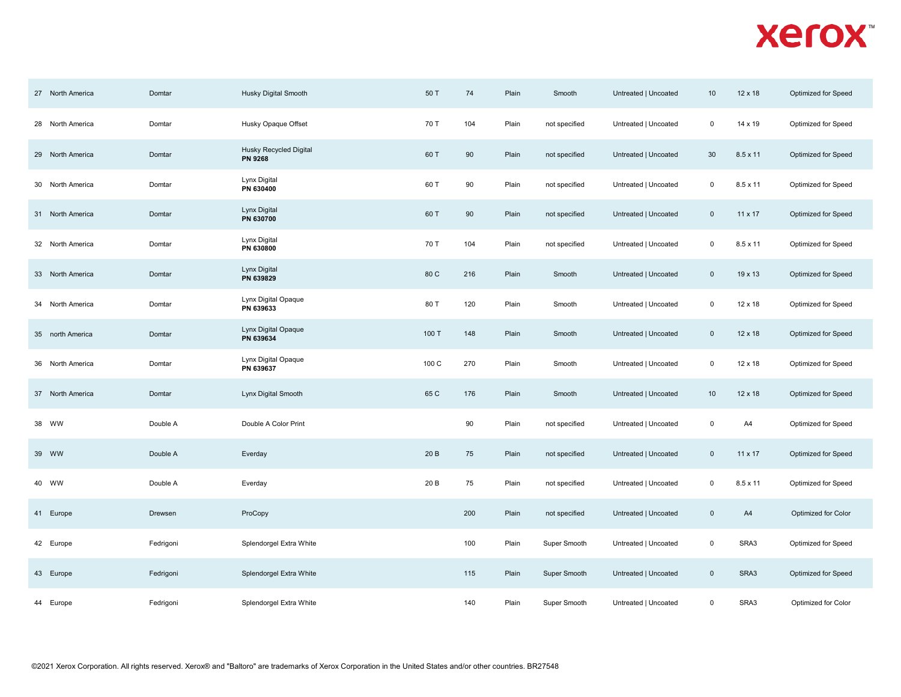| 27 North America | Domtar    | Husky Digital Smooth                     | 50 T  | 74  | Plain | Smooth        | Untreated   Uncoated | 10          | $12 \times 18$  | Optimized for Speed |
|------------------|-----------|------------------------------------------|-------|-----|-------|---------------|----------------------|-------------|-----------------|---------------------|
| 28 North America | Domtar    | Husky Opaque Offset                      | 70 T  | 104 | Plain | not specified | Untreated   Uncoated | 0           | 14 x 19         | Optimized for Speed |
| 29 North America | Domtar    | Husky Recycled Digital<br><b>PN 9268</b> | 60 T  | 90  | Plain | not specified | Untreated   Uncoated | 30          | $8.5 \times 11$ | Optimized for Speed |
| 30 North America | Domtar    | Lynx Digital<br>PN 630400                | 60 T  | 90  | Plain | not specified | Untreated   Uncoated | $\mathbf 0$ | $8.5 \times 11$ | Optimized for Speed |
| 31 North America | Domtar    | Lynx Digital<br>PN 630700                | 60 T  | 90  | Plain | not specified | Untreated   Uncoated | $\mathbf 0$ | 11 x 17         | Optimized for Speed |
| 32 North America | Domtar    | Lynx Digital<br>PN 630800                | 70 T  | 104 | Plain | not specified | Untreated   Uncoated | $\mathbf 0$ | $8.5 \times 11$ | Optimized for Speed |
| 33 North America | Domtar    | Lynx Digital<br>PN 639829                | 80 C  | 216 | Plain | Smooth        | Untreated   Uncoated | $\mathsf 0$ | 19 x 13         | Optimized for Speed |
| 34 North America | Domtar    | Lynx Digital Opaque<br>PN 639633         | 80 T  | 120 | Plain | Smooth        | Untreated   Uncoated | $\mathbf 0$ | 12 x 18         | Optimized for Speed |
| 35 north America | Domtar    | Lynx Digital Opaque<br>PN 639634         | 100 T | 148 | Plain | Smooth        | Untreated   Uncoated | $\mathsf 0$ | $12 \times 18$  | Optimized for Speed |
| 36 North America | Domtar    | Lynx Digital Opaque<br>PN 639637         | 100 C | 270 | Plain | Smooth        | Untreated   Uncoated | 0           | $12 \times 18$  | Optimized for Speed |
| 37 North America | Domtar    | Lynx Digital Smooth                      | 65 C  | 176 | Plain | Smooth        | Untreated   Uncoated | 10          | $12 \times 18$  | Optimized for Speed |
| 38 WW            | Double A  | Double A Color Print                     |       | 90  | Plain | not specified | Untreated   Uncoated | $\mathsf 0$ | A4              | Optimized for Speed |
| 39 WW            | Double A  | Everday                                  | 20 B  | 75  | Plain | not specified | Untreated   Uncoated | $\mathbf 0$ | 11 x 17         | Optimized for Speed |
| 40 WW            | Double A  | Everday                                  | 20 B  | 75  | Plain | not specified | Untreated   Uncoated | $\mathbf 0$ | $8.5 \times 11$ | Optimized for Speed |
| 41 Europe        | Drewsen   | ProCopy                                  |       | 200 | Plain | not specified | Untreated   Uncoated | $\mathsf 0$ | A4              | Optimized for Color |
| 42 Europe        | Fedrigoni | Splendorgel Extra White                  |       | 100 | Plain | Super Smooth  | Untreated   Uncoated | $\mathbf 0$ | SRA3            | Optimized for Speed |
| 43 Europe        | Fedrigoni | Splendorgel Extra White                  |       | 115 | Plain | Super Smooth  | Untreated   Uncoated | $\mathsf 0$ | SRA3            | Optimized for Speed |
| 44 Europe        | Fedrigoni | Splendorgel Extra White                  |       | 140 | Plain | Super Smooth  | Untreated   Uncoated | $\mathsf 0$ | SRA3            | Optimized for Color |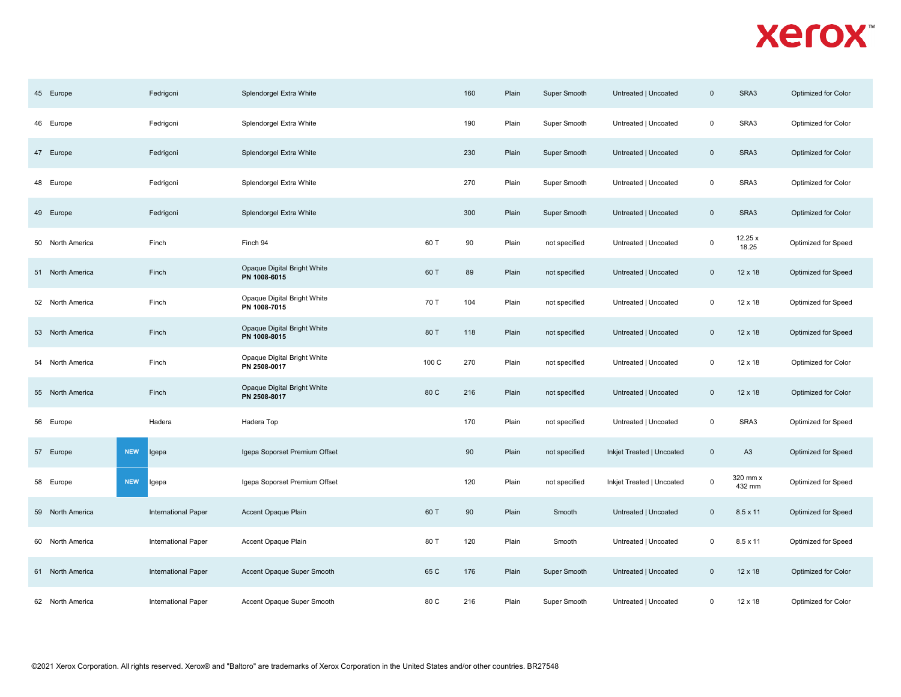| 45 Europe        | Fedrigoni                  | Splendorgel Extra White                     |       | 160 | Plain | Super Smooth  | Untreated   Uncoated      | $\mathbf 0$ | SRA3               | Optimized for Color |
|------------------|----------------------------|---------------------------------------------|-------|-----|-------|---------------|---------------------------|-------------|--------------------|---------------------|
| 46 Europe        | Fedrigoni                  | Splendorgel Extra White                     |       | 190 | Plain | Super Smooth  | Untreated   Uncoated      | $\mathsf 0$ | SRA3               | Optimized for Color |
| 47 Europe        | Fedrigoni                  | Splendorgel Extra White                     |       | 230 | Plain | Super Smooth  | Untreated   Uncoated      | $\mathsf 0$ | SRA3               | Optimized for Color |
| 48 Europe        | Fedrigoni                  | Splendorgel Extra White                     |       | 270 | Plain | Super Smooth  | Untreated   Uncoated      | $\mathbf 0$ | SRA3               | Optimized for Color |
| 49 Europe        | Fedrigoni                  | Splendorgel Extra White                     |       | 300 | Plain | Super Smooth  | Untreated   Uncoated      | $\mathbf 0$ | SRA3               | Optimized for Color |
| 50 North America | Finch                      | Finch 94                                    | 60 T  | 90  | Plain | not specified | Untreated   Uncoated      | $\mathbf 0$ | 12.25 x<br>18.25   | Optimized for Speed |
| 51 North America | Finch                      | Opaque Digital Bright White<br>PN 1008-6015 | 60 T  | 89  | Plain | not specified | Untreated   Uncoated      | $\mathbf 0$ | 12 x 18            | Optimized for Speed |
| 52 North America | Finch                      | Opaque Digital Bright White<br>PN 1008-7015 | 70 T  | 104 | Plain | not specified | Untreated   Uncoated      | $\mathsf 0$ | 12 x 18            | Optimized for Speed |
| 53 North America | Finch                      | Opaque Digital Bright White<br>PN 1008-8015 | 80 T  | 118 | Plain | not specified | Untreated   Uncoated      | $\mathbf 0$ | $12 \times 18$     | Optimized for Speed |
| 54 North America | Finch                      | Opaque Digital Bright White<br>PN 2508-0017 | 100 C | 270 | Plain | not specified | Untreated   Uncoated      | $\mathbf 0$ | 12 x 18            | Optimized for Color |
| 55 North America | Finch                      | Opaque Digital Bright White<br>PN 2508-8017 | 80 C  | 216 | Plain | not specified | Untreated   Uncoated      | $\mathsf 0$ | $12 \times 18$     | Optimized for Color |
| 56 Europe        | Hadera                     | Hadera Top                                  |       | 170 | Plain | not specified | Untreated   Uncoated      | $\mathbf 0$ | SRA3               | Optimized for Speed |
| 57 Europe        | <b>NEW</b><br>Igepa        | Igepa Soporset Premium Offset               |       | 90  | Plain | not specified | Inkjet Treated   Uncoated | $\mathbf 0$ | A <sub>3</sub>     | Optimized for Speed |
| 58 Europe        | <b>NEW</b><br>Igepa        | Igepa Soporset Premium Offset               |       | 120 | Plain | not specified | Inkjet Treated   Uncoated | $\mathbf 0$ | 320 mm x<br>432 mm | Optimized for Speed |
| 59 North America | <b>International Paper</b> | Accent Opaque Plain                         | 60 T  | 90  | Plain | Smooth        | Untreated   Uncoated      | $\mathbf 0$ | 8.5 x 11           | Optimized for Speed |
| 60 North America | International Paper        | Accent Opaque Plain                         | 80 T  | 120 | Plain | Smooth        | Untreated   Uncoated      | 0           | $8.5 \times 11$    | Optimized for Speed |
| 61 North America | International Paper        | Accent Opaque Super Smooth                  | 65 C  | 176 | Plain | Super Smooth  | Untreated   Uncoated      | $\mathsf 0$ | 12 x 18            | Optimized for Color |
| 62 North America | International Paper        | Accent Opaque Super Smooth                  | 80 C  | 216 | Plain | Super Smooth  | Untreated   Uncoated      | 0           | $12 \times 18$     | Optimized for Color |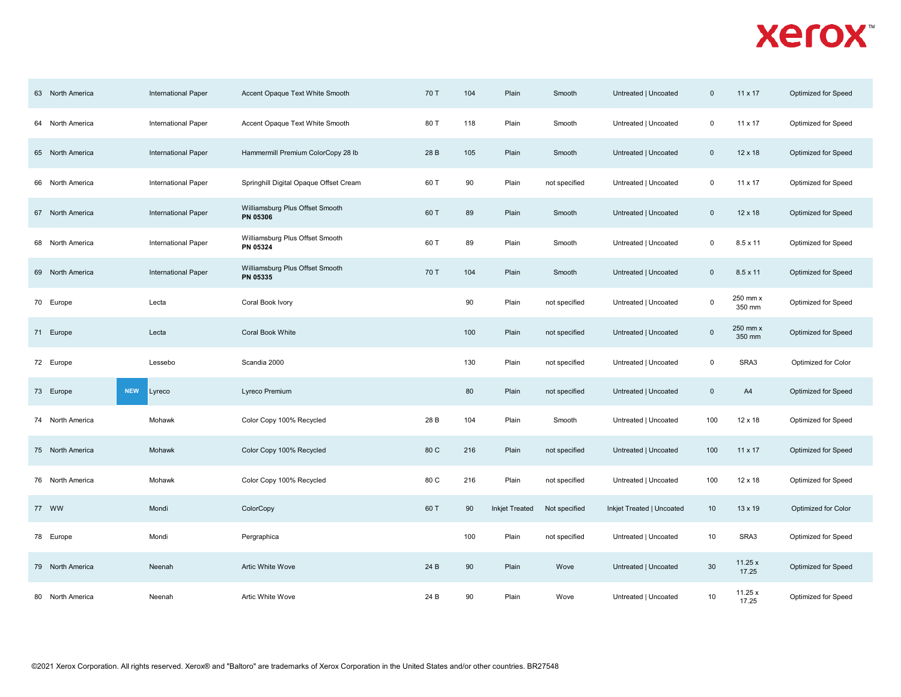| 63 North America | International Paper  | Accent Opaque Text White Smooth             | 70 T | 104 | Plain                 | Smooth        | Untreated   Uncoated      | $\mathbf 0$ | 11 x 17            | Optimized for Speed |
|------------------|----------------------|---------------------------------------------|------|-----|-----------------------|---------------|---------------------------|-------------|--------------------|---------------------|
| 64 North America | International Paper  | Accent Opaque Text White Smooth             | 80 T | 118 | Plain                 | Smooth        | Untreated   Uncoated      | $\mathsf 0$ | 11 x 17            | Optimized for Speed |
| 65 North America | International Paper  | Hammermill Premium ColorCopy 28 lb          | 28 B | 105 | Plain                 | Smooth        | Untreated   Uncoated      | $\mathbf 0$ | 12 x 18            | Optimized for Speed |
| 66 North America | International Paper  | Springhill Digital Opaque Offset Cream      | 60 T | 90  | Plain                 | not specified | Untreated   Uncoated      | $\mathbf 0$ | 11 x 17            | Optimized for Speed |
| 67 North America | International Paper  | Williamsburg Plus Offset Smooth<br>PN 05306 | 60 T | 89  | Plain                 | Smooth        | Untreated   Uncoated      | $\mathbf 0$ | 12 x 18            | Optimized for Speed |
| 68 North America | International Paper  | Williamsburg Plus Offset Smooth<br>PN 05324 | 60 T | 89  | Plain                 | Smooth        | Untreated   Uncoated      | 0           | $8.5 \times 11$    | Optimized for Speed |
| 69 North America | International Paper  | Williamsburg Plus Offset Smooth<br>PN 05335 | 70 T | 104 | Plain                 | Smooth        | Untreated   Uncoated      | $\mathbf 0$ | $8.5 \times 11$    | Optimized for Speed |
| 70 Europe        | Lecta                | Coral Book Ivory                            |      | 90  | Plain                 | not specified | Untreated   Uncoated      | $\mathsf 0$ | 250 mm x<br>350 mm | Optimized for Speed |
| 71 Europe        | Lecta                | <b>Coral Book White</b>                     |      | 100 | Plain                 | not specified | Untreated   Uncoated      | $\mathbf 0$ | 250 mm x<br>350 mm | Optimized for Speed |
| 72 Europe        | Lessebo              | Scandia 2000                                |      | 130 | Plain                 | not specified | Untreated   Uncoated      | $\mathbf 0$ | SRA3               | Optimized for Color |
| 73 Europe        | <b>NEW</b><br>Lyreco | Lyreco Premium                              |      | 80  | Plain                 | not specified | Untreated   Uncoated      | $\mathbf 0$ | A4                 | Optimized for Speed |
| 74 North America | Mohawk               | Color Copy 100% Recycled                    | 28 B | 104 | Plain                 | Smooth        | Untreated   Uncoated      | 100         | 12 x 18            | Optimized for Speed |
| 75 North America | Mohawk               | Color Copy 100% Recycled                    | 80 C | 216 | Plain                 | not specified | Untreated   Uncoated      | 100         | $11 \times 17$     | Optimized for Speed |
| 76 North America | Mohawk               | Color Copy 100% Recycled                    | 80 C | 216 | Plain                 | not specified | Untreated   Uncoated      | 100         | 12 x 18            | Optimized for Speed |
| 77 WW            | Mondi                | ColorCopy                                   | 60 T | 90  | <b>Inkjet Treated</b> | Not specified | Inkjet Treated   Uncoated | 10          | 13 x 19            | Optimized for Color |
| 78 Europe        | Mondi                | Pergraphica                                 |      | 100 | Plain                 | not specified | Untreated   Uncoated      | 10          | SRA3               | Optimized for Speed |
| 79 North America | Neenah               | Artic White Wove                            | 24 B | 90  | Plain                 | Wove          | Untreated   Uncoated      | 30          | 11.25x<br>17.25    | Optimized for Speed |
| 80 North America | Neenah               | Artic White Wove                            | 24 B | 90  | Plain                 | Wove          | Untreated   Uncoated      | 10          | 11.25x<br>17.25    | Optimized for Speed |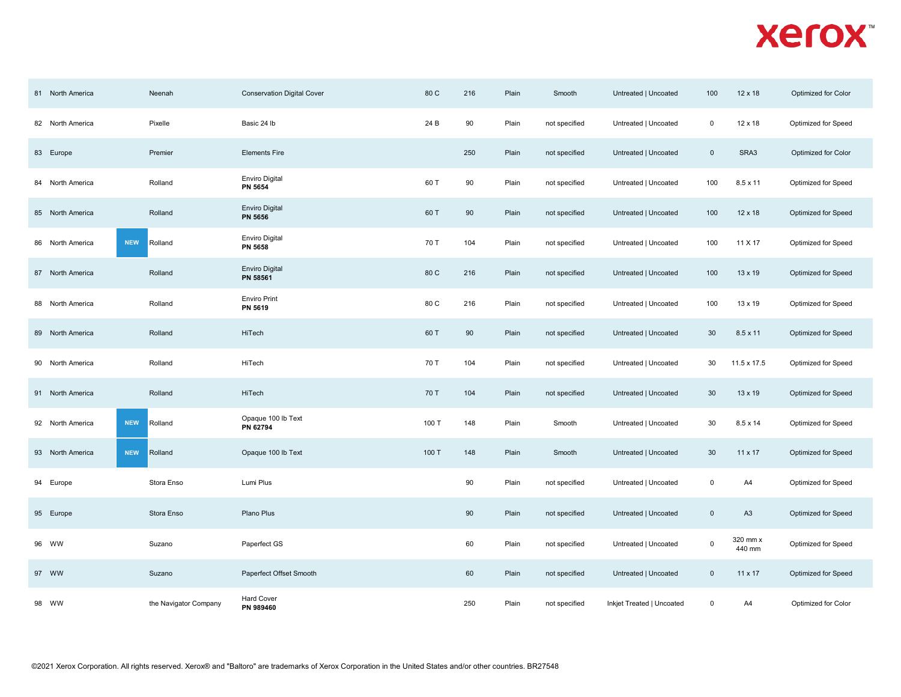| 81 North America | Neenah                | <b>Conservation Digital Cover</b>       | 80 C  | 216 | Plain | Smooth        | Untreated   Uncoated      | 100                     | 12 x 18            | Optimized for Color |
|------------------|-----------------------|-----------------------------------------|-------|-----|-------|---------------|---------------------------|-------------------------|--------------------|---------------------|
| 82 North America | Pixelle               | Basic 24 lb                             | 24 B  | 90  | Plain | not specified | Untreated   Uncoated      | $\mathsf 0$             | 12 x 18            | Optimized for Speed |
| 83 Europe        | Premier               | <b>Elements Fire</b>                    |       | 250 | Plain | not specified | Untreated   Uncoated      | $\mathbf 0$             | SRA3               | Optimized for Color |
| 84 North America | Rolland               | <b>Enviro Digital</b><br><b>PN 5654</b> | 60 T  | 90  | Plain | not specified | Untreated   Uncoated      | 100                     | $8.5 \times 11$    | Optimized for Speed |
| 85 North America | Rolland               | <b>Enviro Digital</b><br>PN 5656        | 60 T  | 90  | Plain | not specified | Untreated   Uncoated      | 100                     | $12 \times 18$     | Optimized for Speed |
| 86 North America | <b>NEW</b><br>Rolland | <b>Enviro Digital</b><br><b>PN 5658</b> | 70 T  | 104 | Plain | not specified | Untreated   Uncoated      | 100                     | 11 X 17            | Optimized for Speed |
| 87 North America | Rolland               | <b>Enviro Digital</b><br>PN 58561       | 80 C  | 216 | Plain | not specified | Untreated   Uncoated      | 100                     | 13 x 19            | Optimized for Speed |
| 88 North America | Rolland               | <b>Enviro Print</b><br>PN 5619          | 80 C  | 216 | Plain | not specified | Untreated   Uncoated      | 100                     | 13 x 19            | Optimized for Speed |
| 89 North America | Rolland               | HiTech                                  | 60 T  | 90  | Plain | not specified | Untreated   Uncoated      | 30                      | $8.5 \times 11$    | Optimized for Speed |
| 90 North America | Rolland               | HiTech                                  | 70 T  | 104 | Plain | not specified | Untreated   Uncoated      | 30                      | 11.5 x 17.5        | Optimized for Speed |
| 91 North America | Rolland               | HiTech                                  | 70 T  | 104 | Plain | not specified | Untreated   Uncoated      | 30                      | 13 x 19            | Optimized for Speed |
| 92 North America | <b>NEW</b><br>Rolland | Opaque 100 lb Text<br>PN 62794          | 100 T | 148 | Plain | Smooth        | Untreated   Uncoated      | 30                      | $8.5 \times 14$    | Optimized for Speed |
| 93 North America | <b>NEW</b><br>Rolland | Opaque 100 lb Text                      | 100 T | 148 | Plain | Smooth        | Untreated   Uncoated      | 30                      | 11 x 17            | Optimized for Speed |
| 94 Europe        | Stora Enso            | Lumi Plus                               |       | 90  | Plain | not specified | Untreated   Uncoated      | $\mathsf 0$             | A4                 | Optimized for Speed |
| 95 Europe        | Stora Enso            | Plano Plus                              |       | 90  | Plain | not specified | Untreated   Uncoated      | $\overline{\mathbf{0}}$ | A <sub>3</sub>     | Optimized for Speed |
| 96 WW            | Suzano                | Paperfect GS                            |       | 60  | Plain | not specified | Untreated   Uncoated      | $\mathsf 0$             | 320 mm x<br>440 mm | Optimized for Speed |
| 97 WW            | Suzano                | Paperfect Offset Smooth                 |       | 60  | Plain | not specified | Untreated   Uncoated      | $\overline{0}$          | 11 x 17            | Optimized for Speed |
|                  |                       | <b>Hard Cover</b>                       |       | 250 | Plain | not specified | Inkjet Treated   Uncoated | $\mathbf 0$             | A4                 |                     |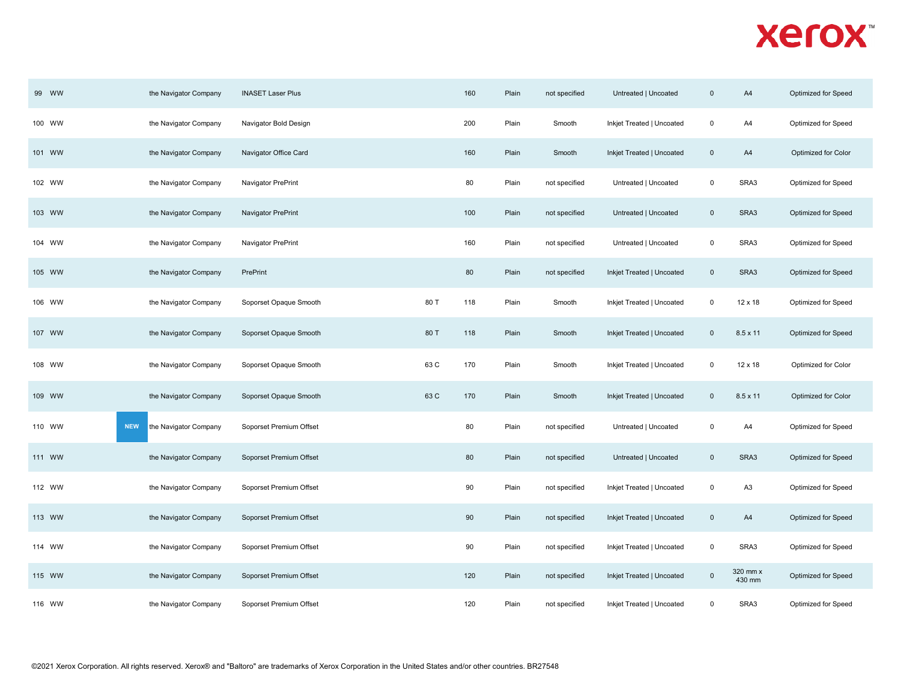| 99 WW  | the Navigator Company               | <b>INASET Laser Plus</b> |      | 160 | Plain | not specified | Untreated   Uncoated      | $\mathbf 0$ | A4                 | Optimized for Speed |  |
|--------|-------------------------------------|--------------------------|------|-----|-------|---------------|---------------------------|-------------|--------------------|---------------------|--|
| 100 WW | the Navigator Company               | Navigator Bold Design    |      | 200 | Plain | Smooth        | Inkjet Treated   Uncoated | $\mathsf 0$ | A4                 | Optimized for Speed |  |
| 101 WW | the Navigator Company               | Navigator Office Card    |      | 160 | Plain | Smooth        | Inkjet Treated   Uncoated | $\mathbf 0$ | A4                 | Optimized for Color |  |
| 102 WW | the Navigator Company               | Navigator PrePrint       |      | 80  | Plain | not specified | Untreated   Uncoated      | $\mathbf 0$ | SRA3               | Optimized for Speed |  |
| 103 WW | the Navigator Company               | Navigator PrePrint       |      | 100 | Plain | not specified | Untreated   Uncoated      | $\pmb{0}$   | SRA3               | Optimized for Speed |  |
| 104 WW | the Navigator Company               | Navigator PrePrint       |      | 160 | Plain | not specified | Untreated   Uncoated      | $\mathbf 0$ | SRA3               | Optimized for Speed |  |
| 105 WW | the Navigator Company               | PrePrint                 |      | 80  | Plain | not specified | Inkjet Treated   Uncoated | $\mathbf 0$ | SRA3               | Optimized for Speed |  |
| 106 WW | the Navigator Company               | Soporset Opaque Smooth   | 80 T | 118 | Plain | Smooth        | Inkjet Treated   Uncoated | $\mathsf 0$ | 12 x 18            | Optimized for Speed |  |
| 107 WW | the Navigator Company               | Soporset Opaque Smooth   | 80 T | 118 | Plain | Smooth        | Inkjet Treated   Uncoated | $\mathbf 0$ | $8.5 \times 11$    | Optimized for Speed |  |
| 108 WW | the Navigator Company               | Soporset Opaque Smooth   | 63 C | 170 | Plain | Smooth        | Inkjet Treated   Uncoated | $\mathbf 0$ | 12 x 18            | Optimized for Color |  |
| 109 WW | the Navigator Company               | Soporset Opaque Smooth   | 63 C | 170 | Plain | Smooth        | Inkjet Treated   Uncoated | $\mathbf 0$ | $8.5 \times 11$    | Optimized for Color |  |
| 110 WW | <b>NEW</b><br>the Navigator Company | Soporset Premium Offset  |      | 80  | Plain | not specified | Untreated   Uncoated      | $\mathbf 0$ | A4                 | Optimized for Speed |  |
| 111 WW | the Navigator Company               | Soporset Premium Offset  |      | 80  | Plain | not specified | Untreated   Uncoated      | $\pmb{0}$   | SRA3               | Optimized for Speed |  |
| 112 WW | the Navigator Company               | Soporset Premium Offset  |      | 90  | Plain | not specified | Inkjet Treated   Uncoated | $\mathbf 0$ | A <sub>3</sub>     | Optimized for Speed |  |
| 113 WW | the Navigator Company               | Soporset Premium Offset  |      | 90  | Plain | not specified | Inkjet Treated   Uncoated | $\pmb{0}$   | A4                 | Optimized for Speed |  |
| 114 WW | the Navigator Company               | Soporset Premium Offset  |      | 90  | Plain | not specified | Inkjet Treated   Uncoated | $\mathbf 0$ | SRA3               | Optimized for Speed |  |
| 115 WW | the Navigator Company               | Soporset Premium Offset  |      | 120 | Plain | not specified | Inkjet Treated   Uncoated | $\pmb{0}$   | 320 mm x<br>430 mm | Optimized for Speed |  |
| 116 WW | the Navigator Company               | Soporset Premium Offset  |      | 120 | Plain | not specified | Inkjet Treated   Uncoated | $\pmb{0}$   | SRA3               | Optimized for Speed |  |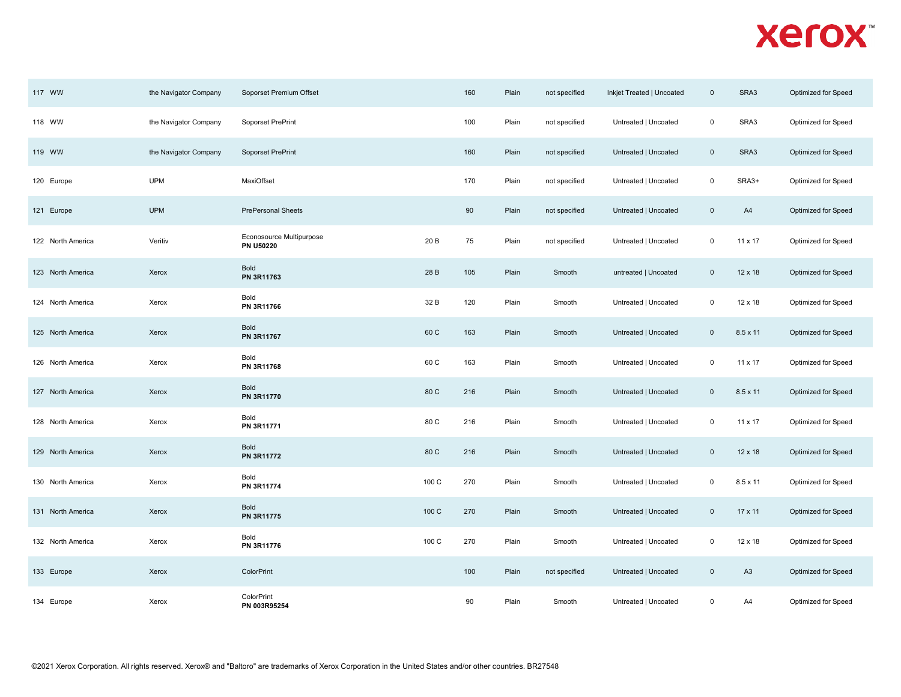| 117 WW            | the Navigator Company | Soporset Premium Offset                      |       | 160 | Plain | not specified | Inkjet Treated   Uncoated | $\mathbf 0$             | SRA3            | Optimized for Speed |
|-------------------|-----------------------|----------------------------------------------|-------|-----|-------|---------------|---------------------------|-------------------------|-----------------|---------------------|
| 118 WW            | the Navigator Company | Soporset PrePrint                            |       | 100 | Plain | not specified | Untreated   Uncoated      | $\mathbf 0$             | SRA3            | Optimized for Speed |
| 119 WW            | the Navigator Company | Soporset PrePrint                            |       | 160 | Plain | not specified | Untreated   Uncoated      | $\overline{\mathbf{0}}$ | SRA3            | Optimized for Speed |
| 120 Europe        | <b>UPM</b>            | MaxiOffset                                   |       | 170 | Plain | not specified | Untreated   Uncoated      | $\mathsf 0$             | SRA3+           | Optimized for Speed |
| 121 Europe        | <b>UPM</b>            | <b>PrePersonal Sheets</b>                    |       | 90  | Plain | not specified | Untreated   Uncoated      | $\mathbf 0$             | A4              | Optimized for Speed |
| 122 North America | Veritiv               | Econosource Multipurpose<br><b>PN U50220</b> | 20 B  | 75  | Plain | not specified | Untreated   Uncoated      | $\mathbf 0$             | 11 x 17         | Optimized for Speed |
| 123 North America | Xerox                 | Bold<br>PN 3R11763                           | 28 B  | 105 | Plain | Smooth        | untreated   Uncoated      | $\overline{0}$          | $12 \times 18$  | Optimized for Speed |
| 124 North America | Xerox                 | Bold<br>PN 3R11766                           | 32 B  | 120 | Plain | Smooth        | Untreated   Uncoated      | $\mathsf 0$             | 12 x 18         | Optimized for Speed |
| 125 North America | Xerox                 | Bold<br>PN 3R11767                           | 60 C  | 163 | Plain | Smooth        | Untreated   Uncoated      | $\overline{0}$          | 8.5 x 11        | Optimized for Speed |
| 126 North America | Xerox                 | Bold<br>PN 3R11768                           | 60 C  | 163 | Plain | Smooth        | Untreated   Uncoated      | $\mathbf 0$             | $11 \times 17$  | Optimized for Speed |
| 127 North America | Xerox                 | Bold<br>PN 3R11770                           | 80 C  | 216 | Plain | Smooth        | Untreated   Uncoated      | $\overline{\mathbf{0}}$ | $8.5 \times 11$ | Optimized for Speed |
| 128 North America | Xerox                 | Bold<br>PN 3R11771                           | 80 C  | 216 | Plain | Smooth        | Untreated   Uncoated      | $\mathbf 0$             | $11 \times 17$  | Optimized for Speed |
| 129 North America | Xerox                 | Bold<br>PN 3R11772                           | 80 C  | 216 | Plain | Smooth        | Untreated   Uncoated      | $\overline{0}$          | $12 \times 18$  | Optimized for Speed |
| 130 North America | Xerox                 | Bold<br>PN 3R11774                           | 100 C | 270 | Plain | Smooth        | Untreated   Uncoated      | $\mathbf 0$             | 8.5 x 11        | Optimized for Speed |
| 131 North America | Xerox                 | Bold<br>PN 3R11775                           | 100 C | 270 | Plain | Smooth        | Untreated   Uncoated      | $\overline{0}$          | 17 x 11         | Optimized for Speed |
| 132 North America | Xerox                 | Bold<br>PN 3R11776                           | 100 C | 270 | Plain | Smooth        | Untreated   Uncoated      | $\mathbf 0$             | 12 x 18         | Optimized for Speed |
| 133 Europe        | Xerox                 | ColorPrint                                   |       | 100 | Plain | not specified | Untreated   Uncoated      | $\mathsf 0$             | A <sub>3</sub>  | Optimized for Speed |
| 134 Europe        | Xerox                 | ColorPrint<br>PN 003R95254                   |       | 90  | Plain | Smooth        | Untreated   Uncoated      | $\mathsf 0$             | A4              | Optimized for Speed |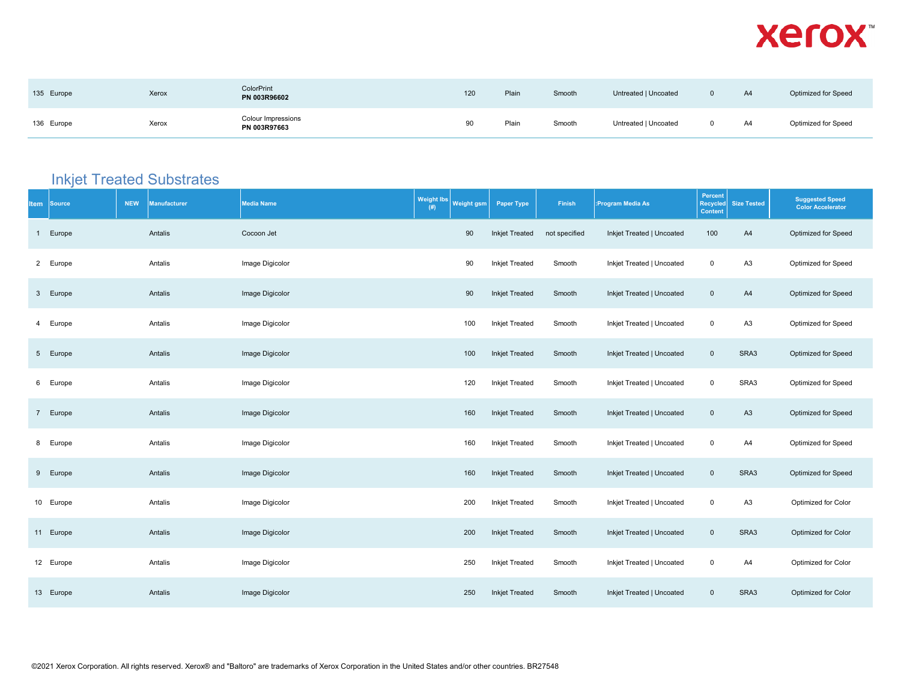| 135 Europe | Xerox | <b>ColorPrint</b><br>PN 003R96602  | 120 | Plain | Smooth | Untreated   Uncoated | A4 | Optimized for Speed |
|------------|-------|------------------------------------|-----|-------|--------|----------------------|----|---------------------|
| 136 Europe | Xerox | Colour Impressions<br>PN 003R97663 | 90  | Plain | Smooth | Untreated   Uncoated | A4 | Optimized for Speed |

#### **Inkjet Treated Substrates**

| <b>Item</b>     | <b>Source</b> | <b>NEW</b> | <b>Manufacturer</b> | <b>Media Name</b> | <b>Weight lbs</b><br>(# ) | Weight gsm | <b>Paper Type</b>     | Finish        | :Program Media As         | Percent<br>Recycled<br><b>Content</b> | <b>Size Tested</b> | <b>Suggested Speed</b><br><b>Color Accelerator</b> |
|-----------------|---------------|------------|---------------------|-------------------|---------------------------|------------|-----------------------|---------------|---------------------------|---------------------------------------|--------------------|----------------------------------------------------|
| $\mathbf{1}$    | Europe        |            | Antalis             | Cocoon Jet        |                           | 90         | <b>Inkjet Treated</b> | not specified | Inkjet Treated   Uncoated | 100                                   | A4                 | Optimized for Speed                                |
| $\overline{2}$  | Europe        |            | Antalis             | Image Digicolor   |                           | 90         | Inkjet Treated        | Smooth        | Inkjet Treated   Uncoated | $\mathsf 0$                           | A <sub>3</sub>     | Optimized for Speed                                |
| $\mathbf{3}$    | Europe        |            | Antalis             | Image Digicolor   |                           | 90         | <b>Inkjet Treated</b> | Smooth        | Inkjet Treated   Uncoated | $\mathbf 0$                           | A4                 | Optimized for Speed                                |
| 4               | Europe        |            | Antalis             | Image Digicolor   |                           | 100        | Inkjet Treated        | Smooth        | Inkjet Treated   Uncoated | $\mathsf 0$                           | A <sub>3</sub>     | Optimized for Speed                                |
| 5 <sub>5</sub>  | Europe        |            | Antalis             | Image Digicolor   |                           | 100        | <b>Inkjet Treated</b> | Smooth        | Inkjet Treated   Uncoated | $\mathbf 0$                           | SRA3               | Optimized for Speed                                |
| 6               | Europe        |            | Antalis             | Image Digicolor   |                           | 120        | <b>Inkjet Treated</b> | Smooth        | Inkjet Treated   Uncoated | $\mathsf 0$                           | SRA3               | Optimized for Speed                                |
| $7\overline{ }$ | Europe        |            | Antalis             | Image Digicolor   |                           | 160        | <b>Inkjet Treated</b> | Smooth        | Inkjet Treated   Uncoated | $\mathsf 0$                           | A <sub>3</sub>     | Optimized for Speed                                |
| 8               | Europe        |            | Antalis             | Image Digicolor   |                           | 160        | <b>Inkjet Treated</b> | Smooth        | Inkjet Treated   Uncoated | $\mathsf 0$                           | A4                 | Optimized for Speed                                |
| 9               | Europe        |            | Antalis             | Image Digicolor   |                           | 160        | <b>Inkjet Treated</b> | Smooth        | Inkjet Treated   Uncoated | $\mathsf 0$                           | SRA3               | Optimized for Speed                                |
|                 | 10 Europe     |            | Antalis             | Image Digicolor   |                           | 200        | <b>Inkjet Treated</b> | Smooth        | Inkjet Treated   Uncoated | $\mathsf 0$                           | A <sub>3</sub>     | Optimized for Color                                |
|                 | 11 Europe     |            | Antalis             | Image Digicolor   |                           | 200        | Inkjet Treated        | Smooth        | Inkjet Treated   Uncoated | $\mathbf 0$                           | SRA3               | Optimized for Color                                |
|                 | 12 Europe     |            | Antalis             | Image Digicolor   |                           | 250        | Inkjet Treated        | Smooth        | Inkjet Treated   Uncoated | $\mathsf 0$                           | A4                 | Optimized for Color                                |
|                 | 13 Europe     |            | Antalis             | Image Digicolor   |                           | 250        | Inkjet Treated        | Smooth        | Inkjet Treated   Uncoated | $\mathbf 0$                           | SRA3               | Optimized for Color                                |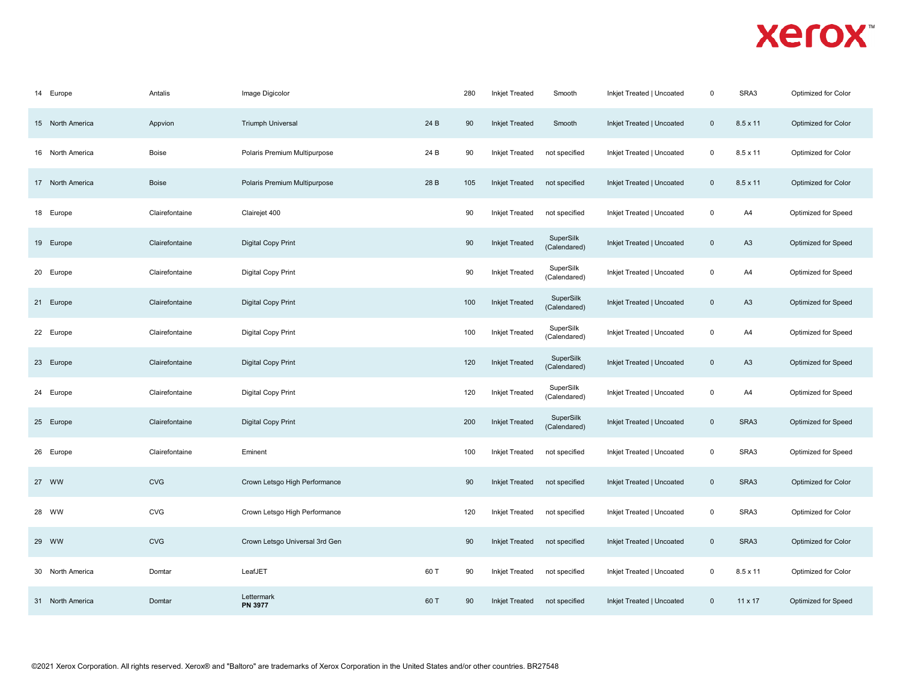| 14<br>Europe     | Antalis        | Image Digicolor                |      | 280 | <b>Inkjet Treated</b> | Smooth                    | Inkjet Treated   Uncoated | $\mathbf 0$  | SRA3            | Optimized for Color |
|------------------|----------------|--------------------------------|------|-----|-----------------------|---------------------------|---------------------------|--------------|-----------------|---------------------|
| 15 North America | Appvion        | <b>Triumph Universal</b>       | 24 B | 90  | <b>Inkjet Treated</b> | Smooth                    | Inkjet Treated   Uncoated | $\mathbf 0$  | $8.5 \times 11$ | Optimized for Color |
| 16 North America | <b>Boise</b>   | Polaris Premium Multipurpose   | 24 B | 90  | <b>Inkjet Treated</b> | not specified             | Inkjet Treated   Uncoated | $\mathsf 0$  | $8.5 \times 11$ | Optimized for Color |
| 17 North America | <b>Boise</b>   | Polaris Premium Multipurpose   | 28 B | 105 | <b>Inkjet Treated</b> | not specified             | Inkjet Treated   Uncoated | $\mathbf 0$  | $8.5 \times 11$ | Optimized for Color |
| 18 Europe        | Clairefontaine | Clairejet 400                  |      | 90  | <b>Inkjet Treated</b> | not specified             | Inkjet Treated   Uncoated | $\mathbf 0$  | A4              | Optimized for Speed |
| 19 Europe        | Clairefontaine | <b>Digital Copy Print</b>      |      | 90  | <b>Inkjet Treated</b> | SuperSilk<br>(Calendared) | Inkjet Treated   Uncoated | $\pmb{0}$    | A <sub>3</sub>  | Optimized for Speed |
| 20 Europe        | Clairefontaine | Digital Copy Print             |      | 90  | <b>Inkjet Treated</b> | SuperSilk<br>(Calendared) | Inkjet Treated   Uncoated | $\mathsf 0$  | A4              | Optimized for Speed |
| 21 Europe        | Clairefontaine | <b>Digital Copy Print</b>      |      | 100 | <b>Inkjet Treated</b> | SuperSilk<br>(Calendared) | Inkjet Treated   Uncoated | $\mathbf 0$  | A <sub>3</sub>  | Optimized for Speed |
| 22 Europe        | Clairefontaine | <b>Digital Copy Print</b>      |      | 100 | <b>Inkjet Treated</b> | SuperSilk<br>(Calendared) | Inkjet Treated   Uncoated | $\mathbf 0$  | A4              | Optimized for Speed |
| 23 Europe        | Clairefontaine | <b>Digital Copy Print</b>      |      | 120 | <b>Inkjet Treated</b> | SuperSilk<br>(Calendared) | Inkjet Treated   Uncoated | $\pmb{0}$    | A <sub>3</sub>  | Optimized for Speed |
| 24 Europe        | Clairefontaine | <b>Digital Copy Print</b>      |      | 120 | <b>Inkjet Treated</b> | SuperSilk<br>(Calendared) | Inkjet Treated   Uncoated | $\pmb{0}$    | A4              | Optimized for Speed |
| 25 Europe        | Clairefontaine | <b>Digital Copy Print</b>      |      | 200 | <b>Inkjet Treated</b> | SuperSilk<br>(Calendared) | Inkjet Treated   Uncoated | $\mathbf{0}$ | SRA3            | Optimized for Speed |
| 26 Europe        | Clairefontaine | Eminent                        |      | 100 | <b>Inkjet Treated</b> | not specified             | Inkjet Treated   Uncoated | $\mathbf 0$  | SRA3            | Optimized for Speed |
| 27 WW            | <b>CVG</b>     | Crown Letsgo High Performance  |      | 90  | <b>Inkjet Treated</b> | not specified             | Inkjet Treated   Uncoated | $\pmb{0}$    | SRA3            | Optimized for Color |
| 28 WW            | <b>CVG</b>     | Crown Letsgo High Performance  |      | 120 | <b>Inkjet Treated</b> | not specified             | Inkjet Treated   Uncoated | $\mathbf 0$  | SRA3            | Optimized for Color |
| 29 WW            | <b>CVG</b>     | Crown Letsgo Universal 3rd Gen |      | 90  | <b>Inkjet Treated</b> | not specified             | Inkjet Treated   Uncoated | $\mathbf{0}$ | SRA3            | Optimized for Color |
| 30 North America | Domtar         | LeafJET                        | 60 T | 90  | <b>Inkjet Treated</b> | not specified             | Inkjet Treated   Uncoated | $\mathbf 0$  | $8.5 \times 11$ | Optimized for Color |
| 31 North America | Domtar         | Lettermark<br>PN 3977          | 60 T | 90  | <b>Inkjet Treated</b> | not specified             | Inkjet Treated   Uncoated | $\mathbf 0$  | 11 x 17         | Optimized for Speed |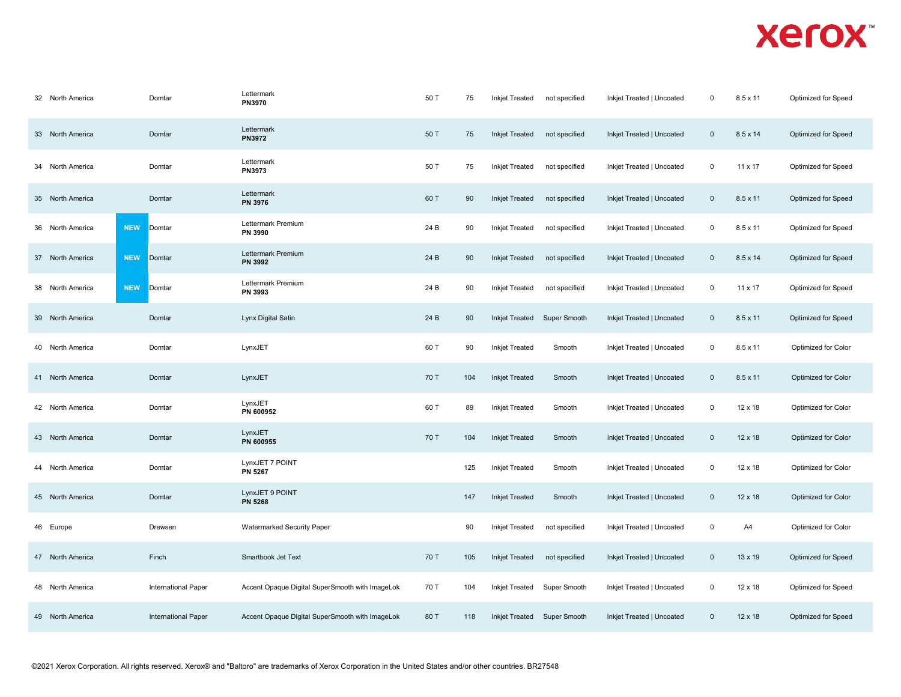| 32 North America    | Domtar                     | Lettermark<br><b>PN3970</b>                     | 50 T | 75  | <b>Inkjet Treated</b> | not specified | Inkjet Treated   Uncoated | $\mathbf 0$    | $8.5 \times 11$ | Optimized for Speed        |
|---------------------|----------------------------|-------------------------------------------------|------|-----|-----------------------|---------------|---------------------------|----------------|-----------------|----------------------------|
| 33 North America    | Domtar                     | Lettermark<br><b>PN3972</b>                     | 50 T | 75  | <b>Inkjet Treated</b> | not specified | Inkjet Treated   Uncoated | $\mathbf 0$    | $8.5 \times 14$ | Optimized for Speed        |
| 34 North America    | Domtar                     | Lettermark<br><b>PN3973</b>                     | 50 T | 75  | <b>Inkjet Treated</b> | not specified | Inkjet Treated   Uncoated | $\mathbf 0$    | 11 x 17         | Optimized for Speed        |
| 35 North America    | Domtar                     | Lettermark<br>PN 3976                           | 60 T | 90  | <b>Inkjet Treated</b> | not specified | Inkjet Treated   Uncoated | $\overline{0}$ | $8.5 \times 11$ | Optimized for Speed        |
| 36 North America    | <b>NEW</b><br>Domtar       | Lettermark Premium<br>PN 3990                   | 24 B | 90  | <b>Inkjet Treated</b> | not specified | Inkjet Treated   Uncoated | 0              | 8.5 x 11        | Optimized for Speed        |
| 37 North America    | <b>NEW</b><br>Domtar       | Lettermark Premium<br><b>PN 3992</b>            | 24 B | 90  | <b>Inkjet Treated</b> | not specified | Inkjet Treated   Uncoated | $\mathbf 0$    | $8.5 \times 14$ | Optimized for Speed        |
| 38 North America    | <b>NEW</b><br>Domtar       | Lettermark Premium<br>PN 3993                   | 24 B | 90  | <b>Inkjet Treated</b> | not specified | Inkjet Treated   Uncoated | $\mathbf 0$    | 11 x 17         | Optimized for Speed        |
| 39 North America    | Domtar                     | Lynx Digital Satin                              | 24 B | 90  | <b>Inkjet Treated</b> | Super Smooth  | Inkjet Treated   Uncoated | $\mathbf 0$    | $8.5 \times 11$ | Optimized for Speed        |
| 40 North America    | Domtar                     | LynxJET                                         | 60 T | 90  | <b>Inkjet Treated</b> | Smooth        | Inkjet Treated   Uncoated | $\mathbf 0$    | 8.5 x 11        | Optimized for Color        |
| 41 North America    | Domtar                     | LynxJET                                         | 70 T | 104 | <b>Inkjet Treated</b> | Smooth        | Inkjet Treated   Uncoated | $\mathbf 0$    | $8.5 \times 11$ | Optimized for Color        |
| 42 North America    | Domtar                     | LynxJET<br>PN 600952                            | 60 T | 89  | <b>Inkjet Treated</b> | Smooth        | Inkjet Treated   Uncoated | $\mathbf 0$    | 12 x 18         | Optimized for Color        |
| 43 North America    | Domtar                     | LynxJET<br>PN 600955                            | 70 T | 104 | <b>Inkjet Treated</b> | Smooth        | Inkjet Treated   Uncoated | $\mathbf{0}$   | $12 \times 18$  | Optimized for Color        |
| North America<br>44 | Domtar                     | LynxJET 7 POINT<br><b>PN 5267</b>               |      | 125 | <b>Inkjet Treated</b> | Smooth        | Inkjet Treated   Uncoated | $\mathbf 0$    | 12 x 18         | Optimized for Color        |
| 45 North America    | Domtar                     | LynxJET 9 POINT<br><b>PN 5268</b>               |      | 147 | <b>Inkjet Treated</b> | Smooth        | Inkjet Treated   Uncoated | $\mathbf{0}$   | 12 x 18         | <b>Optimized for Color</b> |
| 46 Europe           | Drewsen                    | <b>Watermarked Security Paper</b>               |      | 90  | <b>Inkjet Treated</b> | not specified | Inkjet Treated   Uncoated | $\mathbf 0$    | A4              | Optimized for Color        |
| 47 North America    | Finch                      | Smartbook Jet Text                              | 70 T | 105 | <b>Inkjet Treated</b> | not specified | Inkjet Treated   Uncoated | $\mathbf 0$    | $13 \times 19$  | Optimized for Speed        |
| 48 North America    | <b>International Paper</b> | Accent Opaque Digital SuperSmooth with ImageLok | 70 T | 104 | Inkjet Treated        | Super Smooth  | Inkjet Treated   Uncoated | 0              | $12 \times 18$  | Optimized for Speed        |
| 49 North America    | <b>International Paper</b> | Accent Opaque Digital SuperSmooth with ImageLok | 80 T | 118 | <b>Inkjet Treated</b> | Super Smooth  | Inkjet Treated   Uncoated | $\mathbf 0$    | $12 \times 18$  | Optimized for Speed        |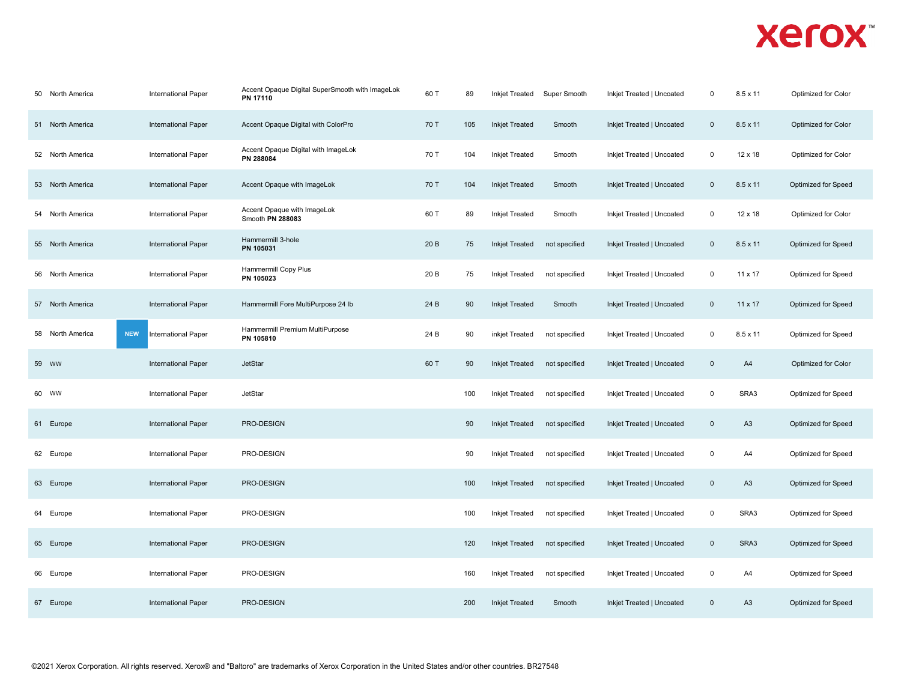| 50 North America | International Paper               | Accent Opaque Digital SuperSmooth with ImageLok<br>PN 17110 | 60 T | 89  | <b>Inkjet Treated</b> | Super Smooth  | Inkjet Treated   Uncoated | $\mathbf 0$         | 8.5 x 11        | Optimized for Color        |
|------------------|-----------------------------------|-------------------------------------------------------------|------|-----|-----------------------|---------------|---------------------------|---------------------|-----------------|----------------------------|
| 51 North America | <b>International Paper</b>        | Accent Opaque Digital with ColorPro                         | 70 T | 105 | <b>Inkjet Treated</b> | Smooth        | Inkjet Treated   Uncoated | $\mathbf 0$         | $8.5 \times 11$ | Optimized for Color        |
| 52 North America | <b>International Paper</b>        | Accent Opaque Digital with ImageLok<br>PN 288084            | 70 T | 104 | <b>Inkjet Treated</b> | Smooth        | Inkjet Treated   Uncoated | 0                   | $12 \times 18$  | Optimized for Color        |
| 53 North America | International Paper               | Accent Opaque with ImageLok                                 | 70 T | 104 | <b>Inkjet Treated</b> | Smooth        | Inkjet Treated   Uncoated | $\mathbf 0$         | $8.5 \times 11$ | Optimized for Speed        |
| 54 North America | International Paper               | Accent Opaque with ImageLok<br>Smooth PN 288083             | 60 T | 89  | <b>Inkjet Treated</b> | Smooth        | Inkjet Treated   Uncoated | 0                   | 12 x 18         | Optimized for Color        |
| 55 North America | International Paper               | Hammermill 3-hole<br>PN 105031                              | 20 B | 75  | <b>Inkjet Treated</b> | not specified | Inkjet Treated   Uncoated | $\mathbf 0$         | $8.5 \times 11$ | Optimized for Speed        |
| 56 North America | <b>International Paper</b>        | Hammermill Copy Plus<br>PN 105023                           | 20 B | 75  | <b>Inkjet Treated</b> | not specified | Inkjet Treated   Uncoated | 0                   | 11 x 17         | Optimized for Speed        |
| 57 North America | International Paper               | Hammermill Fore MultiPurpose 24 lb                          | 24 B | 90  | <b>Inkjet Treated</b> | Smooth        | Inkjet Treated   Uncoated | $\mathsf{O}\xspace$ | $11 \times 17$  | Optimized for Speed        |
| 58 North America | <b>NEW</b><br>International Paper | Hammermill Premium MultiPurpose<br>PN 105810                | 24 B | 90  | inkjet Treated        | not specified | Inkjet Treated   Uncoated | 0                   | $8.5 \times 11$ | Optimized for Speed        |
| 59 WW            | <b>International Paper</b>        | <b>JetStar</b>                                              | 60 T | 90  | <b>Inkjet Treated</b> | not specified | Inkjet Treated   Uncoated | $\mathbf 0$         | A4              | <b>Optimized for Color</b> |
| 60 WW            | <b>International Paper</b>        | JetStar                                                     |      | 100 | <b>Inkjet Treated</b> | not specified | Inkjet Treated   Uncoated | 0                   | SRA3            | Optimized for Speed        |
| 61 Europe        | <b>International Paper</b>        | PRO-DESIGN                                                  |      | 90  | <b>Inkjet Treated</b> | not specified | Inkjet Treated   Uncoated | $\mathsf 0$         | A <sub>3</sub>  | Optimized for Speed        |
| 62 Europe        | International Paper               | PRO-DESIGN                                                  |      | 90  | <b>Inkjet Treated</b> | not specified | Inkjet Treated   Uncoated | 0                   | A4              | Optimized for Speed        |
| 63 Europe        | <b>International Paper</b>        | PRO-DESIGN                                                  |      | 100 | <b>Inkjet Treated</b> | not specified | Inkjet Treated   Uncoated | $\mathbf 0$         | A3              | Optimized for Speed        |
| 64 Europe        | <b>International Paper</b>        | PRO-DESIGN                                                  |      | 100 | <b>Inkjet Treated</b> | not specified | Inkjet Treated   Uncoated | 0                   | SRA3            | Optimized for Speed        |
| 65 Europe        | <b>International Paper</b>        | PRO-DESIGN                                                  |      | 120 | <b>Inkjet Treated</b> | not specified | Inkjet Treated   Uncoated | $\mathbf 0$         | SRA3            | Optimized for Speed        |
| 66 Europe        | International Paper               | PRO-DESIGN                                                  |      | 160 | <b>Inkjet Treated</b> | not specified | Inkjet Treated   Uncoated | 0                   | A4              | Optimized for Speed        |
| 67 Europe        | <b>International Paper</b>        | PRO-DESIGN                                                  |      | 200 | <b>Inkjet Treated</b> | Smooth        | Inkjet Treated   Uncoated | $\mathbf 0$         | A <sub>3</sub>  | Optimized for Speed        |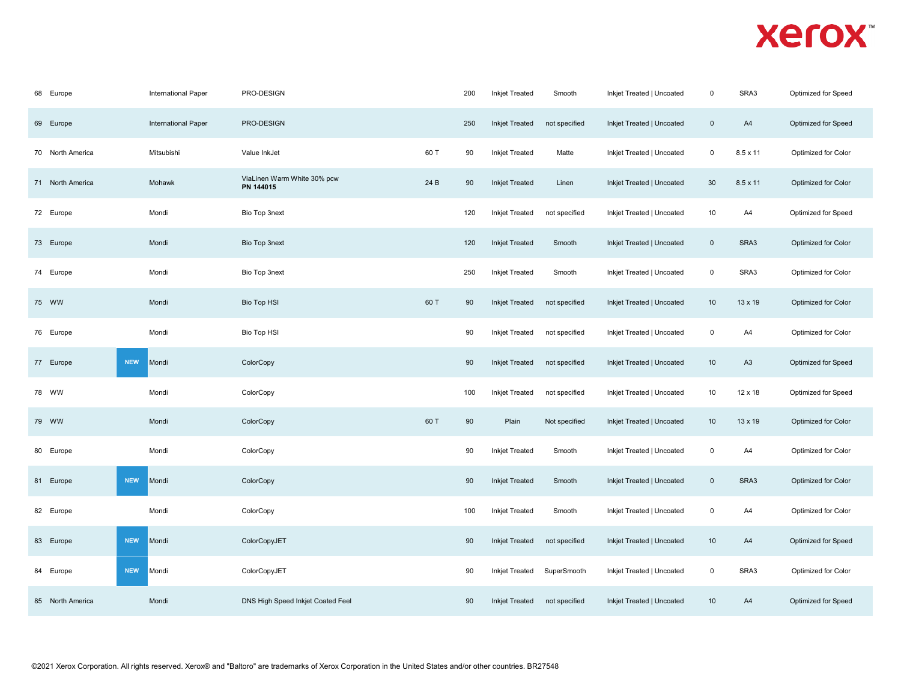| 68 Europe        | International Paper        | PRO-DESIGN                               |      | 200 | <b>Inkjet Treated</b> | Smooth        | Inkjet Treated   Uncoated | $\mathbf 0$         | SRA3            | Optimized for Speed |
|------------------|----------------------------|------------------------------------------|------|-----|-----------------------|---------------|---------------------------|---------------------|-----------------|---------------------|
| 69 Europe        | <b>International Paper</b> | PRO-DESIGN                               |      | 250 | <b>Inkjet Treated</b> | not specified | Inkjet Treated   Uncoated | $\mathbf 0$         | A4              | Optimized for Speed |
| 70 North America | Mitsubishi                 | Value InkJet                             | 60 T | 90  | <b>Inkjet Treated</b> | Matte         | Inkjet Treated   Uncoated | $\mathsf 0$         | $8.5 \times 11$ | Optimized for Color |
| 71 North America | Mohawk                     | ViaLinen Warm White 30% pcw<br>PN 144015 | 24 B | 90  | <b>Inkjet Treated</b> | Linen         | Inkjet Treated   Uncoated | 30                  | $8.5 \times 11$ | Optimized for Color |
| 72 Europe        | Mondi                      | Bio Top 3next                            |      | 120 | Inkjet Treated        | not specified | Inkjet Treated   Uncoated | 10                  | A4              | Optimized for Speed |
| 73 Europe        | Mondi                      | Bio Top 3next                            |      | 120 | <b>Inkjet Treated</b> | Smooth        | Inkjet Treated   Uncoated | $\mathsf 0$         | SRA3            | Optimized for Color |
| 74 Europe        | Mondi                      | Bio Top 3next                            |      | 250 | <b>Inkjet Treated</b> | Smooth        | Inkjet Treated   Uncoated | $\mathsf 0$         | SRA3            | Optimized for Color |
| 75 WW            | Mondi                      | <b>Bio Top HSI</b>                       | 60 T | 90  | <b>Inkjet Treated</b> | not specified | Inkjet Treated   Uncoated | 10                  | $13 \times 19$  | Optimized for Color |
| 76 Europe        | Mondi                      | <b>Bio Top HSI</b>                       |      | 90  | Inkjet Treated        | not specified | Inkjet Treated   Uncoated | $\mathsf 0$         | A4              | Optimized for Color |
| 77 Europe        | <b>NEW</b><br>Mondi        | ColorCopy                                |      | 90  | <b>Inkjet Treated</b> | not specified | Inkjet Treated   Uncoated | 10                  | A <sub>3</sub>  | Optimized for Speed |
| 78 WW            | Mondi                      | ColorCopy                                |      | 100 | Inkjet Treated        | not specified | Inkjet Treated   Uncoated | 10                  | 12 x 18         | Optimized for Speed |
| 79 WW            | Mondi                      | ColorCopy                                | 60 T | 90  | Plain                 | Not specified | Inkjet Treated   Uncoated | 10                  | $13 \times 19$  | Optimized for Color |
| 80 Europe        | Mondi                      | ColorCopy                                |      | 90  | <b>Inkjet Treated</b> | Smooth        | Inkjet Treated   Uncoated | $\mathbf 0$         | A4              | Optimized for Color |
| 81 Europe        | <b>NEW</b><br>Mondi        | ColorCopy                                |      | 90  | <b>Inkjet Treated</b> | Smooth        | Inkjet Treated   Uncoated | $\mathsf{O}\xspace$ | SRA3            | Optimized for Color |
| 82 Europe        | Mondi                      | ColorCopy                                |      | 100 | <b>Inkjet Treated</b> | Smooth        | Inkjet Treated   Uncoated | 0                   | A4              | Optimized for Color |
| 83 Europe        | <b>NEW</b><br>Mondi        | ColorCopyJET                             |      | 90  | <b>Inkjet Treated</b> | not specified | Inkjet Treated   Uncoated | 10                  | A4              | Optimized for Speed |
| 84 Europe        | <b>NEW</b><br>Mondi        | ColorCopyJET                             |      | 90  | <b>Inkjet Treated</b> | SuperSmooth   | Inkjet Treated   Uncoated | 0                   | SRA3            | Optimized for Color |
| 85 North America | Mondi                      | DNS High Speed Inkjet Coated Feel        |      | 90  | <b>Inkjet Treated</b> | not specified | Inkjet Treated   Uncoated | 10                  | A4              | Optimized for Speed |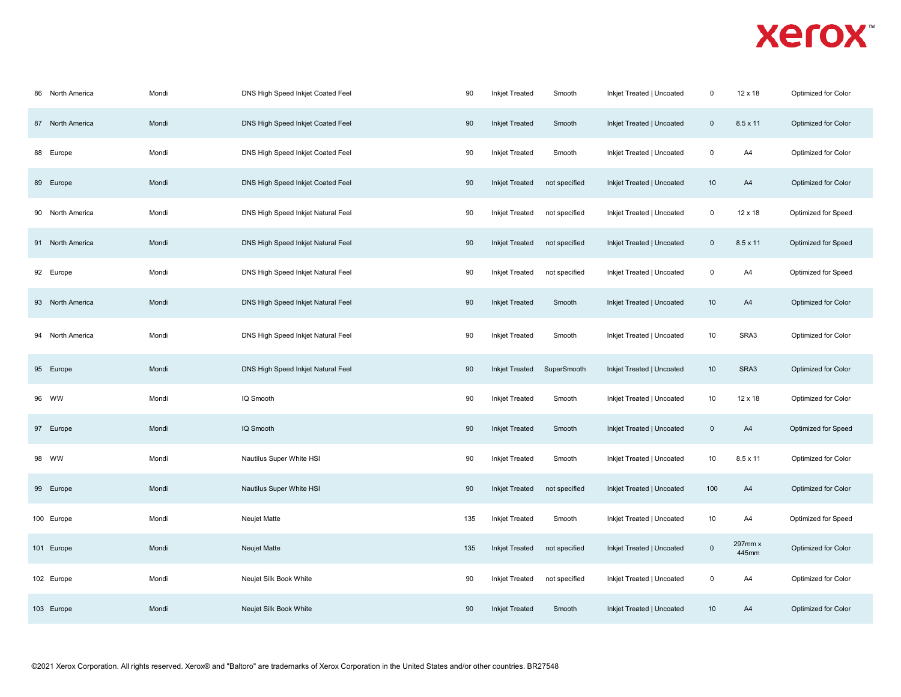| 86 North America    | Mondi | DNS High Speed Inkjet Coated Feel  | 90  | <b>Inkjet Treated</b> | Smooth        | Inkjet Treated   Uncoated | $\mathbf 0$    | 12 x 18          | Optimized for Color |
|---------------------|-------|------------------------------------|-----|-----------------------|---------------|---------------------------|----------------|------------------|---------------------|
| 87 North America    | Mondi | DNS High Speed Inkjet Coated Feel  | 90  | <b>Inkjet Treated</b> | Smooth        | Inkjet Treated   Uncoated | $\mathbf{0}$   | $8.5 \times 11$  | Optimized for Color |
| 88 Europe           | Mondi | DNS High Speed Inkjet Coated Feel  | 90  | <b>Inkjet Treated</b> | Smooth        | Inkjet Treated   Uncoated | $\mathsf 0$    | A4               | Optimized for Color |
| 89 Europe           | Mondi | DNS High Speed Inkjet Coated Feel  | 90  | Inkjet Treated        | not specified | Inkjet Treated   Uncoated | 10             | A4               | Optimized for Color |
| 90 North America    | Mondi | DNS High Speed Inkjet Natural Feel | 90  | <b>Inkjet Treated</b> | not specified | Inkjet Treated   Uncoated | 0              | $12 \times 18$   | Optimized for Speed |
| 91 North America    | Mondi | DNS High Speed Inkjet Natural Feel | 90  | <b>Inkjet Treated</b> | not specified | Inkjet Treated   Uncoated | $\mathbf 0$    | 8.5 x 11         | Optimized for Speed |
| 92 Europe           | Mondi | DNS High Speed Inkjet Natural Feel | 90  | <b>Inkjet Treated</b> | not specified | Inkjet Treated   Uncoated | $\pmb{0}$      | A4               | Optimized for Speed |
| 93 North America    | Mondi | DNS High Speed Inkjet Natural Feel | 90  | <b>Inkjet Treated</b> | Smooth        | Inkjet Treated   Uncoated | 10             | A4               | Optimized for Color |
| North America<br>94 | Mondi | DNS High Speed Inkjet Natural Feel | 90  | <b>Inkjet Treated</b> | Smooth        | Inkjet Treated   Uncoated | 10             | SRA3             | Optimized for Color |
| 95 Europe           | Mondi | DNS High Speed Inkjet Natural Feel | 90  | <b>Inkjet Treated</b> | SuperSmooth   | Inkjet Treated   Uncoated | 10             | SRA3             | Optimized for Color |
| 96 WW               | Mondi | IQ Smooth                          | 90  | <b>Inkjet Treated</b> | Smooth        | Inkjet Treated   Uncoated | 10             | 12 x 18          | Optimized for Color |
| 97 Europe           | Mondi | IQ Smooth                          | 90  | <b>Inkjet Treated</b> | Smooth        | Inkjet Treated   Uncoated | $\pmb{0}$      | A4               | Optimized for Speed |
| 98 WW               | Mondi | Nautilus Super White HSI           | 90  | <b>Inkjet Treated</b> | Smooth        | Inkjet Treated   Uncoated | 10             | $8.5 \times 11$  | Optimized for Color |
| 99 Europe           | Mondi | Nautilus Super White HSI           | 90  | <b>Inkjet Treated</b> | not specified | Inkjet Treated   Uncoated | 100            | A4               | Optimized for Color |
| 100 Europe          | Mondi | Neujet Matte                       | 135 | <b>Inkjet Treated</b> | Smooth        | Inkjet Treated   Uncoated | 10             | A4               | Optimized for Speed |
| 101 Europe          | Mondi | Neujet Matte                       | 135 | <b>Inkjet Treated</b> | not specified | Inkjet Treated   Uncoated | $\overline{0}$ | 297mm x<br>445mm | Optimized for Color |
| 102 Europe          | Mondi | Neujet Silk Book White             | 90  | <b>Inkjet Treated</b> | not specified | Inkjet Treated   Uncoated | $\mathbf 0$    | A4               | Optimized for Color |
| 103 Europe          | Mondi | Neujet Silk Book White             | 90  | <b>Inkjet Treated</b> | Smooth        | Inkjet Treated   Uncoated | 10             | A4               | Optimized for Color |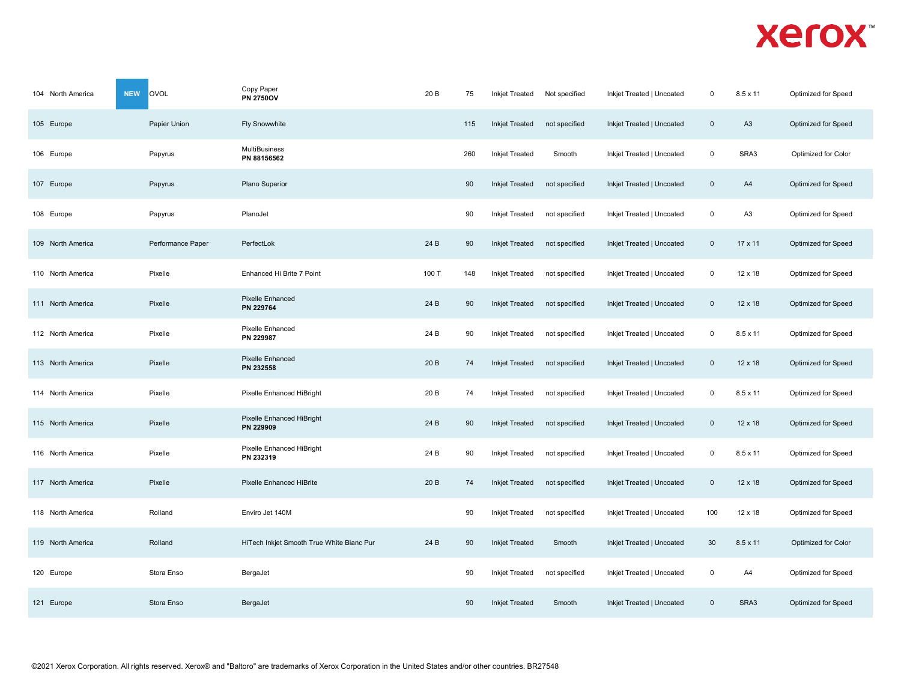| 104 North America | OVOL<br><b>NEW</b> | Copy Paper<br><b>PN 2750OV</b>            | 20 B  | 75  | <b>Inkjet Treated</b> | Not specified | Inkjet Treated   Uncoated | $\Omega$    | $8.5 \times 11$ | Optimized for Speed |
|-------------------|--------------------|-------------------------------------------|-------|-----|-----------------------|---------------|---------------------------|-------------|-----------------|---------------------|
| 105 Europe        | Papier Union       | <b>Fly Snowwhite</b>                      |       | 115 | <b>Inkjet Treated</b> | not specified | Inkjet Treated   Uncoated | $\mathbf 0$ | A <sub>3</sub>  | Optimized for Speed |
| 106 Europe        | Papyrus            | <b>MultiBusiness</b><br>PN 88156562       |       | 260 | <b>Inkjet Treated</b> | Smooth        | Inkjet Treated   Uncoated | $\mathsf 0$ | SRA3            | Optimized for Color |
| 107 Europe        | Papyrus            | Plano Superior                            |       | 90  | <b>Inkjet Treated</b> | not specified | Inkjet Treated   Uncoated | $\mathbf 0$ | A4              | Optimized for Speed |
| 108 Europe        | Papyrus            | PlanoJet                                  |       | 90  | <b>Inkjet Treated</b> | not specified | Inkjet Treated   Uncoated | $\mathsf 0$ | A <sub>3</sub>  | Optimized for Speed |
| 109 North America | Performance Paper  | PerfectLok                                | 24 B  | 90  | <b>Inkjet Treated</b> | not specified | Inkjet Treated   Uncoated | $\mathbf 0$ | 17 x 11         | Optimized for Speed |
| 110 North America | Pixelle            | Enhanced Hi Brite 7 Point                 | 100 T | 148 | <b>Inkjet Treated</b> | not specified | Inkjet Treated   Uncoated | 0           | 12 x 18         | Optimized for Speed |
| 111 North America | Pixelle            | <b>Pixelle Enhanced</b><br>PN 229764      | 24 B  | 90  | <b>Inkjet Treated</b> | not specified | Inkjet Treated   Uncoated | $\mathbf 0$ | 12 x 18         | Optimized for Speed |
| 112 North America | Pixelle            | Pixelle Enhanced<br>PN 229987             | 24 B  | 90  | Inkjet Treated        | not specified | Inkjet Treated   Uncoated | 0           | 8.5 x 11        | Optimized for Speed |
| 113 North America | Pixelle            | <b>Pixelle Enhanced</b><br>PN 232558      | 20 B  | 74  | <b>Inkjet Treated</b> | not specified | Inkjet Treated   Uncoated | $\pmb{0}$   | 12 x 18         | Optimized for Speed |
| 114 North America | Pixelle            | Pixelle Enhanced HiBright                 | 20 B  | 74  | <b>Inkjet Treated</b> | not specified | Inkjet Treated   Uncoated | 0           | $8.5 \times 11$ | Optimized for Speed |
| 115 North America | Pixelle            | Pixelle Enhanced HiBright<br>PN 229909    | 24 B  | 90  | <b>Inkjet Treated</b> | not specified | Inkjet Treated   Uncoated | $\mathbf 0$ | 12 x 18         | Optimized for Speed |
| 116 North America | Pixelle            | Pixelle Enhanced HiBright<br>PN 232319    | 24 B  | 90  | <b>Inkjet Treated</b> | not specified | Inkjet Treated   Uncoated | $\mathbf 0$ | $8.5 \times 11$ | Optimized for Speed |
| 117 North America | Pixelle            | <b>Pixelle Enhanced HiBrite</b>           | 20 B  | 74  | <b>Inkjet Treated</b> | not specified | Inkjet Treated   Uncoated | $\mathbf 0$ | 12 x 18         | Optimized for Speed |
| 118 North America | Rolland            | Enviro Jet 140M                           |       | 90  | <b>Inkjet Treated</b> | not specified | Inkjet Treated   Uncoated | 100         | $12 \times 18$  | Optimized for Speed |
| 119 North America | Rolland            | HiTech Inkjet Smooth True White Blanc Pur | 24 B  | 90  | <b>Inkjet Treated</b> | Smooth        | Inkjet Treated   Uncoated | 30          | 8.5 x 11        | Optimized for Color |
| 120 Europe        | Stora Enso         | BergaJet                                  |       | 90  | Inkjet Treated        | not specified | Inkjet Treated   Uncoated | 0           | A4              | Optimized for Speed |
| 121 Europe        | Stora Enso         | BergaJet                                  |       | 90  | <b>Inkjet Treated</b> | Smooth        | Inkjet Treated   Uncoated | $\mathbf 0$ | SRA3            | Optimized for Speed |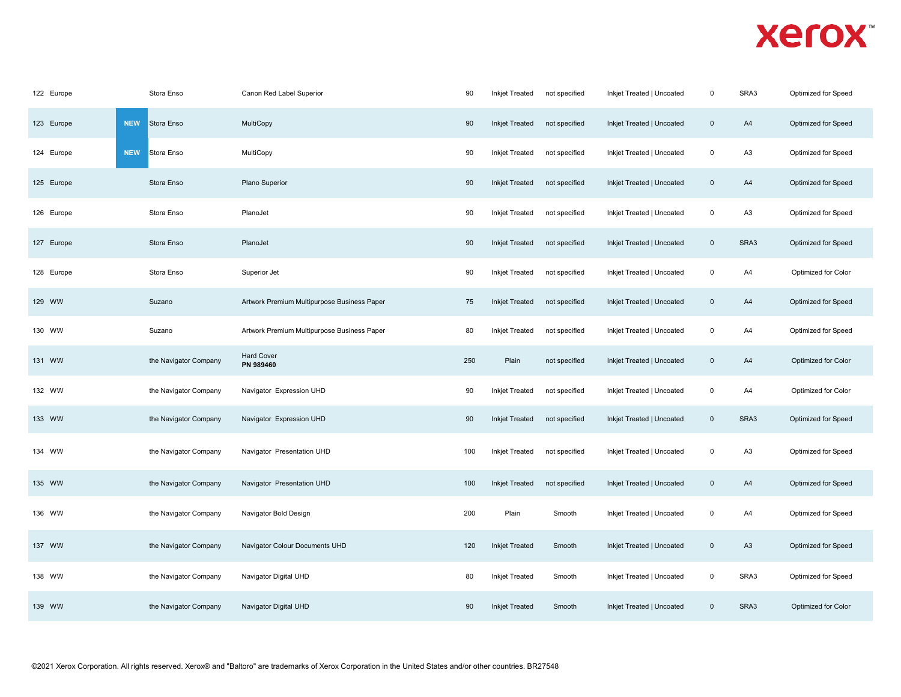| 122 Europe | Stora Enso               | Canon Red Label Superior                    | 90  | Inkjet Treated        | not specified | Inkjet Treated   Uncoated | $\mathbf 0$    | SRA3           | Optimized for Speed |
|------------|--------------------------|---------------------------------------------|-----|-----------------------|---------------|---------------------------|----------------|----------------|---------------------|
| 123 Europe | <b>NEW</b><br>Stora Enso | MultiCopy                                   | 90  | <b>Inkjet Treated</b> | not specified | Inkjet Treated   Uncoated | $\mathbf 0$    | A4             | Optimized for Speed |
| 124 Europe | <b>NEW</b><br>Stora Enso | MultiCopy                                   | 90  | <b>Inkjet Treated</b> | not specified | Inkjet Treated   Uncoated | $\mathbf 0$    | A3             | Optimized for Speed |
| 125 Europe | Stora Enso               | Plano Superior                              | 90  | <b>Inkjet Treated</b> | not specified | Inkjet Treated   Uncoated | $\mathbf 0$    | A4             | Optimized for Speed |
| 126 Europe | Stora Enso               | PlanoJet                                    | 90  | <b>Inkjet Treated</b> | not specified | Inkjet Treated   Uncoated | $\mathbf 0$    | A3             | Optimized for Speed |
| 127 Europe | Stora Enso               | PlanoJet                                    | 90  | <b>Inkjet Treated</b> | not specified | Inkjet Treated   Uncoated | $\pmb{0}$      | SRA3           | Optimized for Speed |
| 128 Europe | Stora Enso               | Superior Jet                                | 90  | <b>Inkjet Treated</b> | not specified | Inkjet Treated   Uncoated | $\mathbf 0$    | A4             | Optimized for Color |
| 129 WW     | Suzano                   | Artwork Premium Multipurpose Business Paper | 75  | <b>Inkjet Treated</b> | not specified | Inkjet Treated   Uncoated | $\mathbf 0$    | A4             | Optimized for Speed |
| 130 WW     | Suzano                   | Artwork Premium Multipurpose Business Paper | 80  | <b>Inkjet Treated</b> | not specified | Inkjet Treated   Uncoated | $\mathbf 0$    | A4             | Optimized for Speed |
| 131 WW     | the Navigator Company    | <b>Hard Cover</b><br>PN 989460              | 250 | Plain                 | not specified | Inkjet Treated   Uncoated | $\mathbf 0$    | A4             | Optimized for Color |
| 132 WW     | the Navigator Company    | Navigator Expression UHD                    | 90  | <b>Inkjet Treated</b> | not specified | Inkjet Treated   Uncoated | $\mathbf 0$    | A4             | Optimized for Color |
| 133 WW     | the Navigator Company    | Navigator Expression UHD                    | 90  | <b>Inkjet Treated</b> | not specified | Inkjet Treated   Uncoated | $\overline{0}$ | SRA3           | Optimized for Speed |
| 134 WW     | the Navigator Company    | Navigator Presentation UHD                  | 100 | <b>Inkjet Treated</b> | not specified | Inkjet Treated   Uncoated | $\mathbf 0$    | A3             | Optimized for Speed |
| 135 WW     | the Navigator Company    | Navigator Presentation UHD                  | 100 | <b>Inkjet Treated</b> | not specified | Inkjet Treated   Uncoated | $\mathbf 0$    | A4             | Optimized for Speed |
| 136 WW     | the Navigator Company    | Navigator Bold Design                       | 200 | Plain                 | Smooth        | Inkjet Treated   Uncoated | $\mathsf 0$    | A4             | Optimized for Speed |
| 137 WW     | the Navigator Company    | Navigator Colour Documents UHD              | 120 | <b>Inkjet Treated</b> | Smooth        | Inkjet Treated   Uncoated | $\mathbf 0$    | A <sub>3</sub> | Optimized for Speed |
| 138 WW     | the Navigator Company    | Navigator Digital UHD                       | 80  | Inkjet Treated        | Smooth        | Inkjet Treated   Uncoated | $\mathbf 0$    | SRA3           | Optimized for Speed |
| 139 WW     | the Navigator Company    | Navigator Digital UHD                       | 90  | <b>Inkjet Treated</b> | Smooth        | Inkjet Treated   Uncoated | $\mathbf 0$    | SRA3           | Optimized for Color |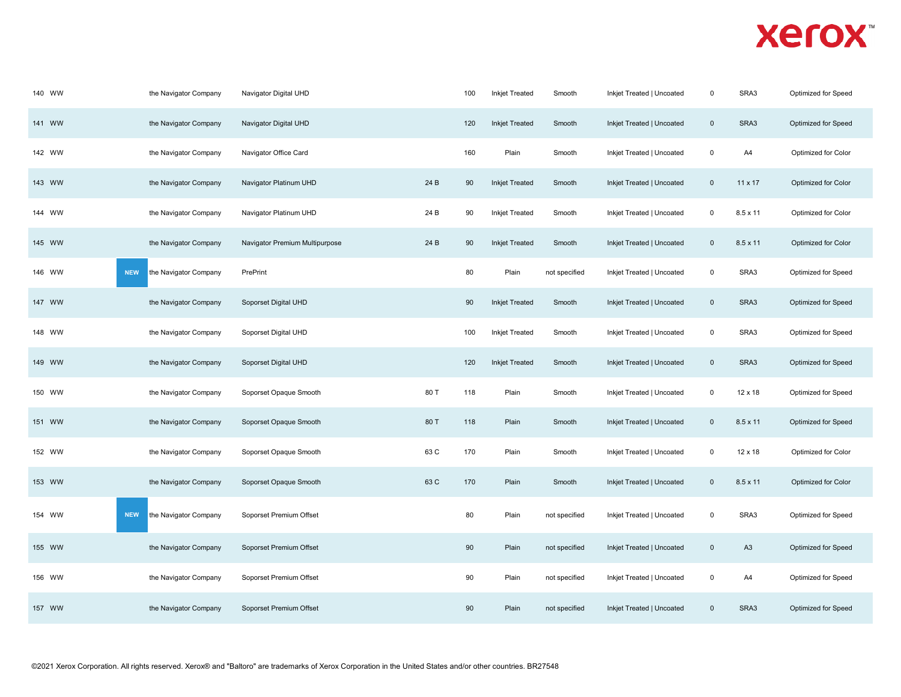| 140 WW | the Navigator Company               | Navigator Digital UHD          |      | 100 | <b>Inkjet Treated</b> | Smooth        | Inkjet Treated   Uncoated | $\mathbf 0$    | SRA3            | Optimized for Speed |
|--------|-------------------------------------|--------------------------------|------|-----|-----------------------|---------------|---------------------------|----------------|-----------------|---------------------|
| 141 WW | the Navigator Company               | Navigator Digital UHD          |      | 120 | <b>Inkjet Treated</b> | Smooth        | Inkjet Treated   Uncoated | $\mathsf 0$    | SRA3            | Optimized for Speed |
| 142 WW | the Navigator Company               | Navigator Office Card          |      | 160 | Plain                 | Smooth        | Inkjet Treated   Uncoated | $\mathbf 0$    | A4              | Optimized for Color |
| 143 WW | the Navigator Company               | Navigator Platinum UHD         | 24 B | 90  | <b>Inkjet Treated</b> | Smooth        | Inkjet Treated   Uncoated | $\overline{0}$ | 11 x 17         | Optimized for Color |
| 144 WW | the Navigator Company               | Navigator Platinum UHD         | 24 B | 90  | Inkjet Treated        | Smooth        | Inkjet Treated   Uncoated | $\mathbf 0$    | 8.5 x 11        | Optimized for Color |
| 145 WW | the Navigator Company               | Navigator Premium Multipurpose | 24 B | 90  | <b>Inkjet Treated</b> | Smooth        | Inkjet Treated   Uncoated | $\mathbf 0$    | $8.5 \times 11$ | Optimized for Color |
| 146 WW | <b>NEW</b><br>the Navigator Company | PrePrint                       |      | 80  | Plain                 | not specified | Inkjet Treated   Uncoated | 0              | SRA3            | Optimized for Speed |
| 147 WW | the Navigator Company               | Soporset Digital UHD           |      | 90  | <b>Inkjet Treated</b> | Smooth        | Inkjet Treated   Uncoated | $\overline{0}$ | SRA3            | Optimized for Speed |
| 148 WW | the Navigator Company               | Soporset Digital UHD           |      | 100 | <b>Inkjet Treated</b> | Smooth        | Inkjet Treated   Uncoated | $\mathbf 0$    | SRA3            | Optimized for Speed |
| 149 WW | the Navigator Company               | Soporset Digital UHD           |      | 120 | <b>Inkjet Treated</b> | Smooth        | Inkjet Treated   Uncoated | $\overline{0}$ | SRA3            | Optimized for Speed |
| 150 WW | the Navigator Company               | Soporset Opaque Smooth         | 80 T | 118 | Plain                 | Smooth        | Inkjet Treated   Uncoated | $\mathbf 0$    | $12 \times 18$  | Optimized for Speed |
| 151 WW | the Navigator Company               | Soporset Opaque Smooth         | 80 T | 118 | Plain                 | Smooth        | Inkjet Treated   Uncoated | $\overline{0}$ | $8.5 \times 11$ | Optimized for Speed |
| 152 WW | the Navigator Company               | Soporset Opaque Smooth         | 63 C | 170 | Plain                 | Smooth        | Inkjet Treated   Uncoated | $\mathsf 0$    | 12 x 18         | Optimized for Color |
| 153 WW | the Navigator Company               | Soporset Opaque Smooth         | 63 C | 170 | Plain                 | Smooth        | Inkjet Treated   Uncoated | $\overline{0}$ | $8.5 \times 11$ | Optimized for Color |
| 154 WW | <b>NEW</b><br>the Navigator Company | Soporset Premium Offset        |      | 80  | Plain                 | not specified | Inkjet Treated   Uncoated | $\mathbf 0$    | SRA3            | Optimized for Speed |
| 155 WW | the Navigator Company               | Soporset Premium Offset        |      | 90  | Plain                 | not specified | Inkjet Treated   Uncoated | $\mathbf 0$    | A <sub>3</sub>  | Optimized for Speed |
| 156 WW | the Navigator Company               | Soporset Premium Offset        |      | 90  | Plain                 | not specified | Inkjet Treated   Uncoated | 0              | A4              | Optimized for Speed |
| 157 WW | the Navigator Company               | Soporset Premium Offset        |      | 90  | Plain                 | not specified | Inkjet Treated   Uncoated | $\mathbf 0$    | SRA3            | Optimized for Speed |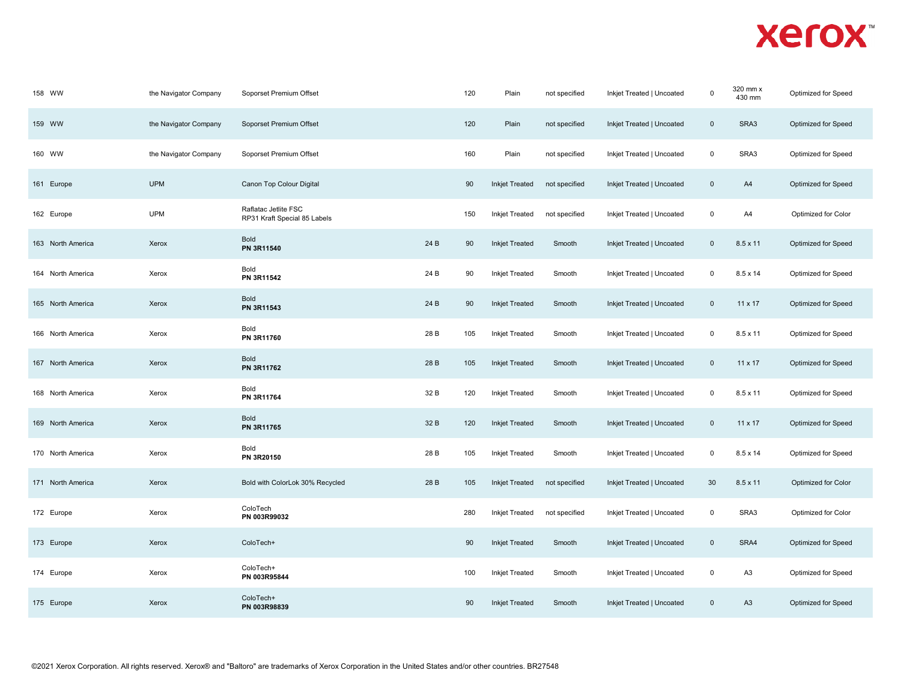| 158 WW            | the Navigator Company | Soporset Premium Offset                              |      | 120 | Plain                 | not specified | Inkjet Treated   Uncoated | $\mathbf 0$ | 320 mm x<br>430 mm | Optimized for Speed |
|-------------------|-----------------------|------------------------------------------------------|------|-----|-----------------------|---------------|---------------------------|-------------|--------------------|---------------------|
| 159 WW            | the Navigator Company | Soporset Premium Offset                              |      | 120 | Plain                 | not specified | Inkjet Treated   Uncoated | $\mathsf 0$ | SRA3               | Optimized for Speed |
| 160 WW            | the Navigator Company | Soporset Premium Offset                              |      | 160 | Plain                 | not specified | Inkjet Treated   Uncoated | $\mathsf 0$ | SRA3               | Optimized for Speed |
| 161 Europe        | <b>UPM</b>            | Canon Top Colour Digital                             |      | 90  | <b>Inkjet Treated</b> | not specified | Inkjet Treated   Uncoated | $\mathbf 0$ | A4                 | Optimized for Speed |
| 162 Europe        | <b>UPM</b>            | Raflatac Jetlite FSC<br>RP31 Kraft Special 85 Labels |      | 150 | <b>Inkjet Treated</b> | not specified | Inkjet Treated   Uncoated | $\mathsf 0$ | A4                 | Optimized for Color |
| 163 North America | Xerox                 | Bold<br>PN 3R11540                                   | 24 B | 90  | <b>Inkjet Treated</b> | Smooth        | Inkjet Treated   Uncoated | $\mathbf 0$ | $8.5 \times 11$    | Optimized for Speed |
| 164 North America | Xerox                 | Bold<br>PN 3R11542                                   | 24 B | 90  | Inkjet Treated        | Smooth        | Inkjet Treated   Uncoated | $\mathbf 0$ | 8.5 x 14           | Optimized for Speed |
| 165 North America | Xerox                 | Bold<br>PN 3R11543                                   | 24 B | 90  | <b>Inkjet Treated</b> | Smooth        | Inkjet Treated   Uncoated | $\mathbf 0$ | $11 \times 17$     | Optimized for Speed |
| 166 North America | Xerox                 | Bold<br>PN 3R11760                                   | 28 B | 105 | <b>Inkjet Treated</b> | Smooth        | Inkjet Treated   Uncoated | $\mathbf 0$ | $8.5 \times 11$    | Optimized for Speed |
| 167 North America | Xerox                 | Bold<br>PN 3R11762                                   | 28 B | 105 | <b>Inkjet Treated</b> | Smooth        | Inkjet Treated   Uncoated | $\mathbf 0$ | $11 \times 17$     | Optimized for Speed |
| 168 North America | Xerox                 | Bold<br>PN 3R11764                                   | 32 B | 120 | <b>Inkjet Treated</b> | Smooth        | Inkjet Treated   Uncoated | $\mathbf 0$ | 8.5 x 11           | Optimized for Speed |
| 169 North America | Xerox                 | Bold<br>PN 3R11765                                   | 32 B | 120 | <b>Inkjet Treated</b> | Smooth        | Inkjet Treated   Uncoated | $\mathbf 0$ | $11 \times 17$     | Optimized for Speed |
| 170 North America | Xerox                 | Bold<br>PN 3R20150                                   | 28 B | 105 | <b>Inkjet Treated</b> | Smooth        | Inkjet Treated   Uncoated | $\mathbf 0$ | 8.5 x 14           | Optimized for Speed |
| 171 North America | Xerox                 | Bold with ColorLok 30% Recycled                      | 28 B | 105 | <b>Inkjet Treated</b> | not specified | Inkjet Treated   Uncoated | 30          | $8.5 \times 11$    | Optimized for Color |
| 172 Europe        | Xerox                 | ColoTech<br>PN 003R99032                             |      | 280 | <b>Inkjet Treated</b> | not specified | Inkjet Treated   Uncoated | $\mathbf 0$ | SRA3               | Optimized for Color |
| 173 Europe        | Xerox                 | ColoTech+                                            |      | 90  | <b>Inkjet Treated</b> | Smooth        | Inkjet Treated   Uncoated | $\mathbf 0$ | SRA4               | Optimized for Speed |
| 174 Europe        | Xerox                 | ColoTech+<br>PN 003R95844                            |      | 100 | <b>Inkjet Treated</b> | Smooth        | Inkjet Treated   Uncoated | $\mathsf 0$ | A <sub>3</sub>     | Optimized for Speed |
| 175 Europe        | Xerox                 | ColoTech+<br>PN 003R98839                            |      | 90  | <b>Inkjet Treated</b> | Smooth        | Inkjet Treated   Uncoated | $\mathbf 0$ | A <sub>3</sub>     | Optimized for Speed |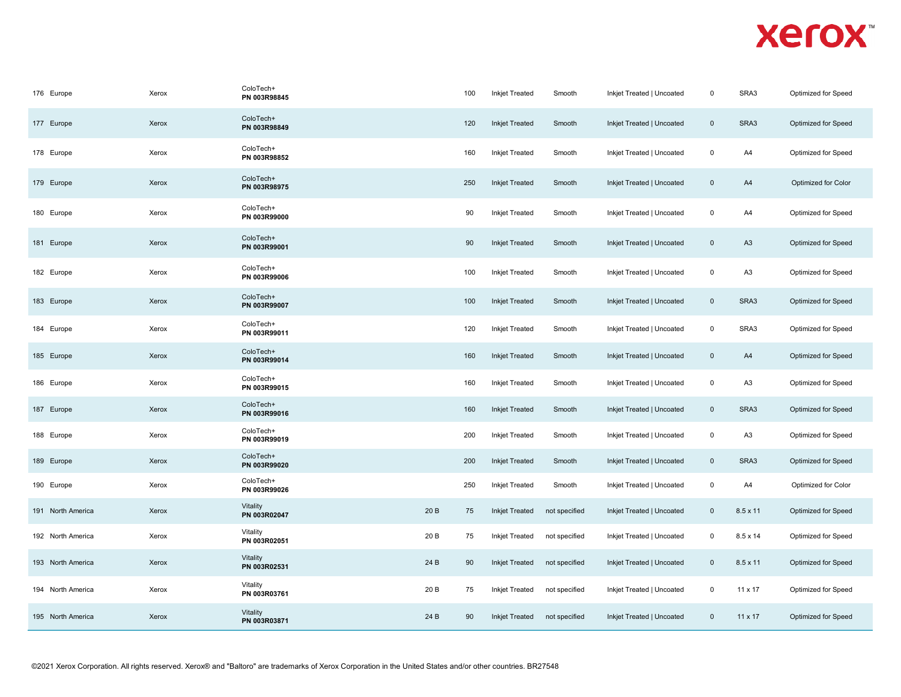| 176 Europe        | Xerox | ColoTech+<br>PN 003R98845 |      | 100 | <b>Inkjet Treated</b> | Smooth        | Inkjet Treated   Uncoated | $\mathbf 0$    | SRA3            | Optimized for Speed |
|-------------------|-------|---------------------------|------|-----|-----------------------|---------------|---------------------------|----------------|-----------------|---------------------|
| 177 Europe        | Xerox | ColoTech+<br>PN 003R98849 |      | 120 | <b>Inkjet Treated</b> | Smooth        | Inkjet Treated   Uncoated | $\mathbf 0$    | SRA3            | Optimized for Speed |
| 178 Europe        | Xerox | ColoTech+<br>PN 003R98852 |      | 160 | <b>Inkjet Treated</b> | Smooth        | Inkjet Treated   Uncoated | $\mathbf 0$    | A4              | Optimized for Speed |
| 179 Europe        | Xerox | ColoTech+<br>PN 003R98975 |      | 250 | <b>Inkjet Treated</b> | Smooth        | Inkjet Treated   Uncoated | $\overline{0}$ | A4              | Optimized for Color |
| 180 Europe        | Xerox | ColoTech+<br>PN 003R99000 |      | 90  | <b>Inkjet Treated</b> | Smooth        | Inkjet Treated   Uncoated | $\mathbf 0$    | A4              | Optimized for Speed |
| 181 Europe        | Xerox | ColoTech+<br>PN 003R99001 |      | 90  | <b>Inkjet Treated</b> | Smooth        | Inkjet Treated   Uncoated | $\mathbf 0$    | A <sub>3</sub>  | Optimized for Speed |
| 182 Europe        | Xerox | ColoTech+<br>PN 003R99006 |      | 100 | <b>Inkjet Treated</b> | Smooth        | Inkjet Treated   Uncoated | $\mathsf 0$    | A <sub>3</sub>  | Optimized for Speed |
| 183 Europe        | Xerox | ColoTech+<br>PN 003R99007 |      | 100 | <b>Inkjet Treated</b> | Smooth        | Inkjet Treated   Uncoated | $\mathbf 0$    | SRA3            | Optimized for Speed |
| 184 Europe        | Xerox | ColoTech+<br>PN 003R99011 |      | 120 | <b>Inkjet Treated</b> | Smooth        | Inkjet Treated   Uncoated | $\mathbf 0$    | SRA3            | Optimized for Speed |
| 185 Europe        | Xerox | ColoTech+<br>PN 003R99014 |      | 160 | <b>Inkjet Treated</b> | Smooth        | Inkjet Treated   Uncoated | $\mathbf 0$    | A4              | Optimized for Speed |
| 186 Europe        | Xerox | ColoTech+<br>PN 003R99015 |      | 160 | <b>Inkjet Treated</b> | Smooth        | Inkjet Treated   Uncoated | $\mathbf 0$    | A <sub>3</sub>  | Optimized for Speed |
| 187 Europe        | Xerox | ColoTech+<br>PN 003R99016 |      | 160 | <b>Inkjet Treated</b> | Smooth        | Inkjet Treated   Uncoated | $\mathbf 0$    | SRA3            | Optimized for Speed |
| 188 Europe        | Xerox | ColoTech+<br>PN 003R99019 |      | 200 | <b>Inkjet Treated</b> | Smooth        | Inkjet Treated   Uncoated | $\mathbf 0$    | A <sub>3</sub>  | Optimized for Speed |
| 189 Europe        | Xerox | ColoTech+<br>PN 003R99020 |      | 200 | <b>Inkjet Treated</b> | Smooth        | Inkjet Treated   Uncoated | $\mathbf 0$    | SRA3            | Optimized for Speed |
| 190 Europe        | Xerox | ColoTech+<br>PN 003R99026 |      | 250 | <b>Inkjet Treated</b> | Smooth        | Inkjet Treated   Uncoated | $\mathbf 0$    | A4              | Optimized for Color |
| 191 North America | Xerox | Vitality<br>PN 003R02047  | 20 B | 75  | <b>Inkjet Treated</b> | not specified | Inkjet Treated   Uncoated | $\mathbf 0$    | $8.5 \times 11$ | Optimized for Speed |
| 192 North America | Xerox | Vitality<br>PN 003R02051  | 20 B | 75  | <b>Inkjet Treated</b> | not specified | Inkjet Treated   Uncoated | $\mathbf 0$    | 8.5 x 14        | Optimized for Speed |
| 193 North America | Xerox | Vitality<br>PN 003R02531  | 24 B | 90  | <b>Inkjet Treated</b> | not specified | Inkjet Treated   Uncoated | $\mathbf 0$    | $8.5 \times 11$ | Optimized for Speed |
| 194 North America | Xerox | Vitality<br>PN 003R03761  | 20 B | 75  | <b>Inkjet Treated</b> | not specified | Inkjet Treated   Uncoated | $\mathbf 0$    | 11 x 17         | Optimized for Speed |
| 195 North America | Xerox | Vitality<br>PN 003R03871  | 24 B | 90  | <b>Inkjet Treated</b> | not specified | Inkjet Treated   Uncoated | $\mathbf 0$    | 11 x 17         | Optimized for Speed |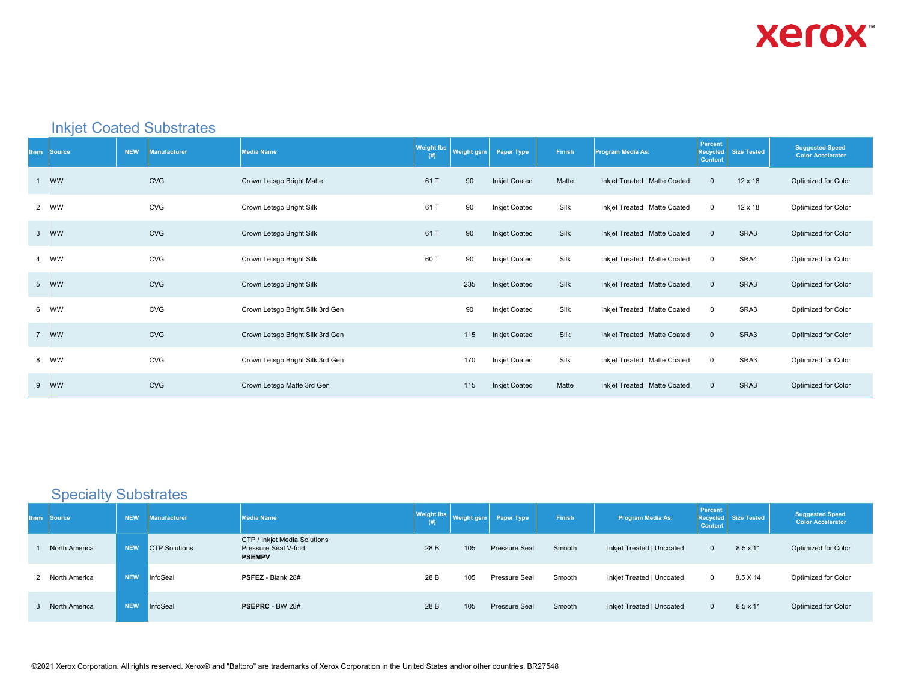

#### Inkjet Coated Substrates

| <b>Item Source</b> | <b>NEW</b> | <b>Manufacturer</b> | <b>Media Name</b>                | <b>Weight lbs</b><br>(# ) | <b>Weight gsm</b> | Paper Type           | Finish | Program Media As:             | Percent<br><b>Recycled</b><br><b>Content</b> | <b>Size Tested</b> | <b>Suggested Speed</b><br><b>Color Accelerator</b> |
|--------------------|------------|---------------------|----------------------------------|---------------------------|-------------------|----------------------|--------|-------------------------------|----------------------------------------------|--------------------|----------------------------------------------------|
| 1 WW               |            | <b>CVG</b>          | Crown Letsgo Bright Matte        | 61 T                      | 90                | <b>Inkjet Coated</b> | Matte  | Inkjet Treated   Matte Coated | $\mathbf 0$                                  | $12 \times 18$     | Optimized for Color                                |
| 2 WW               |            | <b>CVG</b>          | Crown Letsgo Bright Silk         | 61 T                      | 90                | <b>Inkjet Coated</b> | Silk   | Inkjet Treated   Matte Coated | $\mathsf 0$                                  | 12 x 18            | Optimized for Color                                |
| 3 WW               |            | <b>CVG</b>          | Crown Letsgo Bright Silk         | 61 T                      | 90                | <b>Inkjet Coated</b> | Silk   | Inkjet Treated   Matte Coated | $\mathbf 0$                                  | SRA3               | Optimized for Color                                |
| 4 WW               |            | <b>CVG</b>          | Crown Letsgo Bright Silk         | 60 T                      | 90                | <b>Inkjet Coated</b> | Silk   | Inkjet Treated   Matte Coated | $\mathsf 0$                                  | SRA4               | Optimized for Color                                |
| 5 WW               |            | <b>CVG</b>          | Crown Letsgo Bright Silk         |                           | 235               | <b>Inkjet Coated</b> | Silk   | Inkjet Treated   Matte Coated | $\mathbf 0$                                  | SRA3               | Optimized for Color                                |
| 6 WW               |            | CVG                 | Crown Letsgo Bright Silk 3rd Gen |                           | 90                | <b>Inkjet Coated</b> | Silk   | Inkjet Treated   Matte Coated | $\mathbf 0$                                  | SRA3               | Optimized for Color                                |
| 7 WW               |            | <b>CVG</b>          | Crown Letsgo Bright Silk 3rd Gen |                           | 115               | <b>Inkjet Coated</b> | Silk   | Inkjet Treated   Matte Coated | $\mathbf{0}$                                 | SRA3               | <b>Optimized for Color</b>                         |
| 8 WW               |            | <b>CVG</b>          | Crown Letsgo Bright Silk 3rd Gen |                           | 170               | <b>Inkjet Coated</b> | Silk   | Inkjet Treated   Matte Coated | $\mathbf 0$                                  | SRA3               | Optimized for Color                                |
| 9 WW               |            | <b>CVG</b>          | Crown Letsgo Matte 3rd Gen       |                           | 115               | <b>Inkjet Coated</b> | Matte  | Inkjet Treated   Matte Coated | $\mathbf 0$                                  | SRA3               | <b>Optimized for Color</b>                         |

#### Specialty Substrates

| <b>Item</b> | Source          | <b>NEW</b> | <b>Manufacturer</b>  | <b>Media Name</b>                                                     | <b>Weight lbs</b><br>(# ) | <b>Weight gsm</b> | <b>Paper Type</b> | Finish | <b>Program Media As:</b>  | Percent<br><b>Content</b> | Recycled Size Tested | <b>Suggested Speed</b><br><b>Color Accelerator</b> |
|-------------|-----------------|------------|----------------------|-----------------------------------------------------------------------|---------------------------|-------------------|-------------------|--------|---------------------------|---------------------------|----------------------|----------------------------------------------------|
|             | North America   | <b>NEW</b> | <b>CTP Solutions</b> | CTP / Inkjet Media Solutions<br>Pressure Seal V-fold<br><b>PSEMPV</b> | 28 B                      | 105               | Pressure Seal     | Smooth | Inkjet Treated   Uncoated | $\mathbf{0}$              | $8.5 \times 11$      | Optimized for Color                                |
|             | 2 North America | <b>NEW</b> | InfoSeal             | PSFEZ - Blank 28#                                                     | 28 B                      | 105               | Pressure Seal     | Smooth | Inkjet Treated   Uncoated | $\mathbf{0}$              | 8.5 X 14             | Optimized for Color                                |
|             | 3 North America | <b>NEW</b> | InfoSeal             | <b>PSEPRC - BW 28#</b>                                                | 28 B                      | 105               | Pressure Seal     | Smooth | Inkjet Treated   Uncoated | $\mathbf{0}$              | $8.5 \times 11$      | Optimized for Color                                |